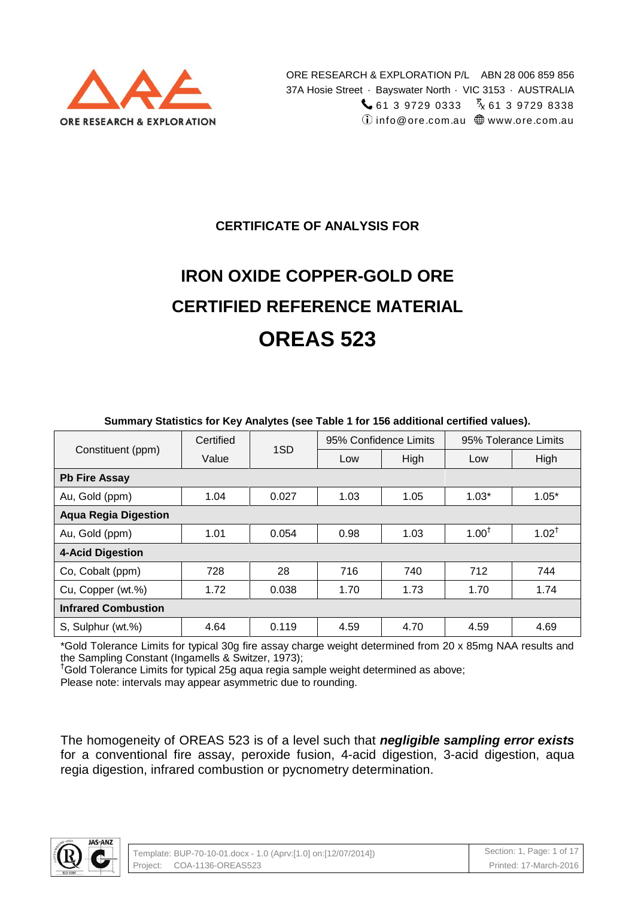

### **CERTIFICATE OF ANALYSIS FOR**

# **IRON OXIDE COPPER-GOLD ORE CERTIFIED REFERENCE MATERIAL OREAS 523**

|                             | Certified | 1SD   | 95% Confidence Limits |      | 95% Tolerance Limits |                  |  |  |  |  |
|-----------------------------|-----------|-------|-----------------------|------|----------------------|------------------|--|--|--|--|
| Constituent (ppm)           | Value     |       | Low                   | High | Low                  | High             |  |  |  |  |
| <b>Pb Fire Assay</b>        |           |       |                       |      |                      |                  |  |  |  |  |
| Au, Gold (ppm)              | 1.04      | 0.027 | 1.03                  | 1.05 | $1.03*$              | $1.05*$          |  |  |  |  |
| <b>Aqua Regia Digestion</b> |           |       |                       |      |                      |                  |  |  |  |  |
| Au, Gold (ppm)              | 1.01      | 0.054 | 0.98                  | 1.03 | $1.00^{†}$           | $1.02^{\dagger}$ |  |  |  |  |
| <b>4-Acid Digestion</b>     |           |       |                       |      |                      |                  |  |  |  |  |
| Co, Cobalt (ppm)            | 728       | 28    | 716                   | 740  | 712                  | 744              |  |  |  |  |
| Cu, Copper (wt.%)           | 1.72      | 0.038 | 1.70                  | 1.73 | 1.70                 | 1.74             |  |  |  |  |
| <b>Infrared Combustion</b>  |           |       |                       |      |                      |                  |  |  |  |  |
| S, Sulphur (wt.%)           | 4.64      | 0.119 | 4.59                  | 4.70 | 4.59                 | 4.69             |  |  |  |  |

#### **Summary Statistics for Key Analytes (see Table 1 for 156 additional certified values).**

\*Gold Tolerance Limits for typical 30g fire assay charge weight determined from 20 x 85mg NAA results and the Sampling Constant (Ingamells & Switzer, 1973);

†Gold Tolerance Limits for typical 25g aqua regia sample weight determined as above;

Please note: intervals may appear asymmetric due to rounding.

The homogeneity of OREAS 523 is of a level such that *negligible sampling error exists* for a conventional fire assay, peroxide fusion, 4-acid digestion, 3-acid digestion, aqua regia digestion, infrared combustion or pycnometry determination.

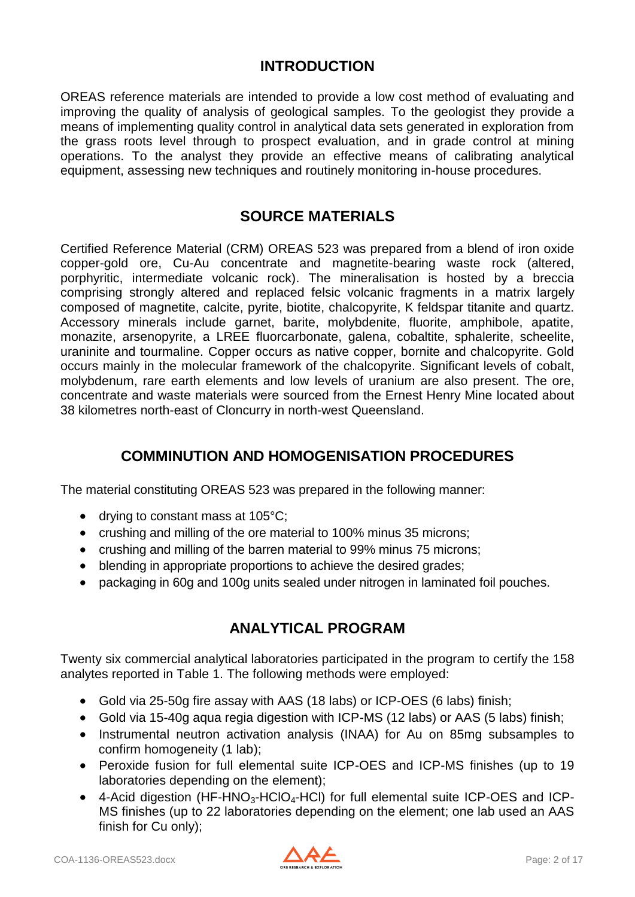### **INTRODUCTION**

OREAS reference materials are intended to provide a low cost method of evaluating and improving the quality of analysis of geological samples. To the geologist they provide a means of implementing quality control in analytical data sets generated in exploration from the grass roots level through to prospect evaluation, and in grade control at mining operations. To the analyst they provide an effective means of calibrating analytical equipment, assessing new techniques and routinely monitoring in-house procedures.

### **SOURCE MATERIALS**

Certified Reference Material (CRM) OREAS 523 was prepared from a blend of iron oxide copper-gold ore, Cu-Au concentrate and magnetite-bearing waste rock (altered, porphyritic, intermediate volcanic rock). The mineralisation is hosted by a breccia comprising strongly altered and replaced felsic volcanic fragments in a matrix largely composed of magnetite, calcite, pyrite, biotite, chalcopyrite, K feldspar titanite and quartz. Accessory minerals include garnet, barite, molybdenite, fluorite, amphibole, apatite, monazite, arsenopyrite, a LREE fluorcarbonate, galena, cobaltite, sphalerite, scheelite, uraninite and tourmaline. Copper occurs as native copper, bornite and chalcopyrite. Gold occurs mainly in the molecular framework of the chalcopyrite. Significant levels of cobalt, molybdenum, rare earth elements and low levels of uranium are also present. The ore, concentrate and waste materials were sourced from the Ernest Henry Mine located about 38 kilometres north-east of Cloncurry in north-west Queensland.

### **COMMINUTION AND HOMOGENISATION PROCEDURES**

The material constituting OREAS 523 was prepared in the following manner:

- drying to constant mass at  $105^{\circ}$ C;
- crushing and milling of the ore material to 100% minus 35 microns;
- crushing and milling of the barren material to 99% minus 75 microns;
- blending in appropriate proportions to achieve the desired grades;
- packaging in 60g and 100g units sealed under nitrogen in laminated foil pouches.

# **ANALYTICAL PROGRAM**

Twenty six commercial analytical laboratories participated in the program to certify the 158 analytes reported in Table 1. The following methods were employed:

- Gold via 25-50g fire assay with AAS (18 labs) or ICP-OES (6 labs) finish;
- Gold via 15-40g aqua regia digestion with ICP-MS (12 labs) or AAS (5 labs) finish;
- Instrumental neutron activation analysis (INAA) for Au on 85mg subsamples to confirm homogeneity (1 lab);
- Peroxide fusion for full elemental suite ICP-OES and ICP-MS finishes (up to 19 laboratories depending on the element);
- $\bullet$  4-Acid digestion (HF-HNO<sub>3</sub>-HCIO<sub>4</sub>-HCI) for full elemental suite ICP-OES and ICP-MS finishes (up to 22 laboratories depending on the element; one lab used an AAS finish for Cu only);

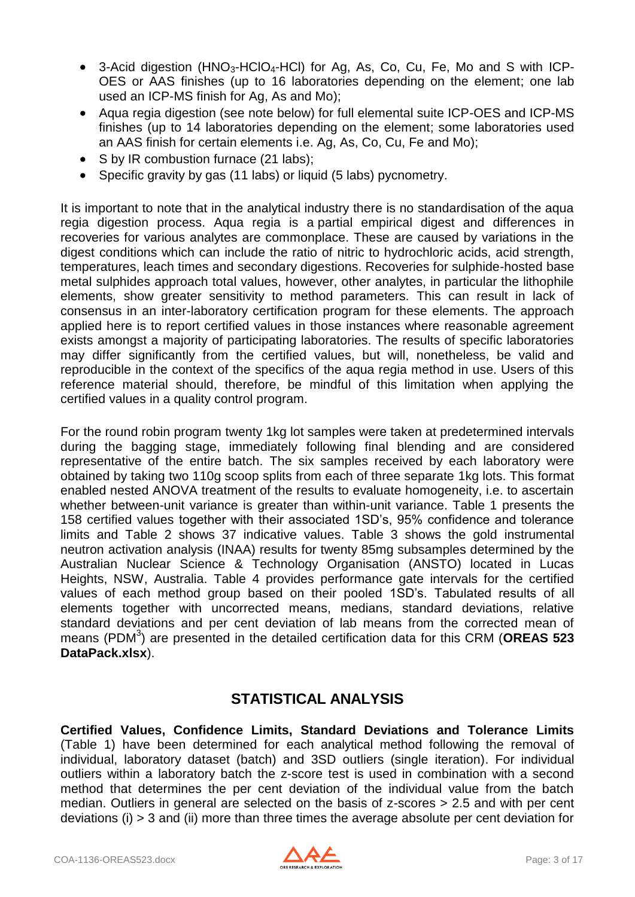- 3-Acid digestion  $(HNO<sub>3</sub>-HClO<sub>4</sub>-HCl)$  for Ag, As, Co, Cu, Fe, Mo and S with ICP-OES or AAS finishes (up to 16 laboratories depending on the element; one lab used an ICP-MS finish for Ag, As and Mo);
- Aqua regia digestion (see note below) for full elemental suite ICP-OES and ICP-MS finishes (up to 14 laboratories depending on the element; some laboratories used an AAS finish for certain elements i.e. Ag, As, Co, Cu, Fe and Mo);
- S by IR combustion furnace (21 labs);
- Specific gravity by gas (11 labs) or liquid (5 labs) pycnometry.

It is important to note that in the analytical industry there is no standardisation of the aqua regia digestion process. Aqua regia is a partial empirical digest and differences in recoveries for various analytes are commonplace. These are caused by variations in the digest conditions which can include the ratio of nitric to hydrochloric acids, acid strength, temperatures, leach times and secondary digestions. Recoveries for sulphide-hosted base metal sulphides approach total values, however, other analytes, in particular the lithophile elements, show greater sensitivity to method parameters. This can result in lack of consensus in an inter-laboratory certification program for these elements. The approach applied here is to report certified values in those instances where reasonable agreement exists amongst a majority of participating laboratories. The results of specific laboratories may differ significantly from the certified values, but will, nonetheless, be valid and reproducible in the context of the specifics of the aqua regia method in use. Users of this reference material should, therefore, be mindful of this limitation when applying the certified values in a quality control program.

For the round robin program twenty 1kg lot samples were taken at predetermined intervals during the bagging stage, immediately following final blending and are considered representative of the entire batch. The six samples received by each laboratory were obtained by taking two 110g scoop splits from each of three separate 1kg lots. This format enabled nested ANOVA treatment of the results to evaluate homogeneity, i.e. to ascertain whether between-unit variance is greater than within-unit variance. Table 1 presents the 158 certified values together with their associated 1SD's, 95% confidence and tolerance limits and Table 2 shows 37 indicative values. Table 3 shows the gold instrumental neutron activation analysis (INAA) results for twenty 85mg subsamples determined by the Australian Nuclear Science & Technology Organisation (ANSTO) located in Lucas Heights, NSW, Australia. Table 4 provides performance gate intervals for the certified values of each method group based on their pooled 1SD's. Tabulated results of all elements together with uncorrected means, medians, standard deviations, relative standard deviations and per cent deviation of lab means from the corrected mean of means (PDM<sup>3</sup>) are presented in the detailed certification data for this CRM (OREAS 523 **DataPack.xlsx**).

# **STATISTICAL ANALYSIS**

**Certified Values, Confidence Limits, Standard Deviations and Tolerance Limits**  (Table 1) have been determined for each analytical method following the removal of individual, laboratory dataset (batch) and 3SD outliers (single iteration). For individual outliers within a laboratory batch the z-score test is used in combination with a second method that determines the per cent deviation of the individual value from the batch median. Outliers in general are selected on the basis of z-scores > 2.5 and with per cent deviations (i) > 3 and (ii) more than three times the average absolute per cent deviation for

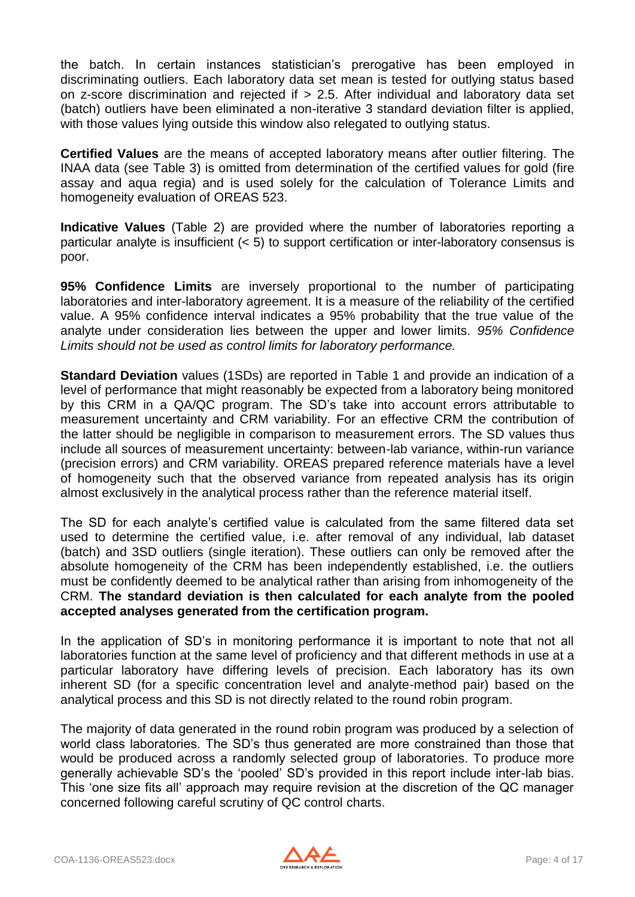the batch. In certain instances statistician's prerogative has been employed in discriminating outliers. Each laboratory data set mean is tested for outlying status based on z-score discrimination and rejected if > 2.5. After individual and laboratory data set (batch) outliers have been eliminated a non-iterative 3 standard deviation filter is applied, with those values lying outside this window also relegated to outlying status.

**Certified Values** are the means of accepted laboratory means after outlier filtering. The INAA data (see Table 3) is omitted from determination of the certified values for gold (fire assay and aqua regia) and is used solely for the calculation of Tolerance Limits and homogeneity evaluation of OREAS 523.

**Indicative Values** (Table 2) are provided where the number of laboratories reporting a particular analyte is insufficient (< 5) to support certification or inter-laboratory consensus is poor.

**95% Confidence Limits** are inversely proportional to the number of participating laboratories and inter-laboratory agreement. It is a measure of the reliability of the certified value. A 95% confidence interval indicates a 95% probability that the true value of the analyte under consideration lies between the upper and lower limits. *95% Confidence Limits should not be used as control limits for laboratory performance.*

**Standard Deviation** values (1SDs) are reported in Table 1 and provide an indication of a level of performance that might reasonably be expected from a laboratory being monitored by this CRM in a QA/QC program. The SD's take into account errors attributable to measurement uncertainty and CRM variability. For an effective CRM the contribution of the latter should be negligible in comparison to measurement errors. The SD values thus include all sources of measurement uncertainty: between-lab variance, within-run variance (precision errors) and CRM variability. OREAS prepared reference materials have a level of homogeneity such that the observed variance from repeated analysis has its origin almost exclusively in the analytical process rather than the reference material itself.

The SD for each analyte's certified value is calculated from the same filtered data set used to determine the certified value, i.e. after removal of any individual, lab dataset (batch) and 3SD outliers (single iteration). These outliers can only be removed after the absolute homogeneity of the CRM has been independently established, i.e. the outliers must be confidently deemed to be analytical rather than arising from inhomogeneity of the CRM. **The standard deviation is then calculated for each analyte from the pooled accepted analyses generated from the certification program.**

In the application of SD's in monitoring performance it is important to note that not all laboratories function at the same level of proficiency and that different methods in use at a particular laboratory have differing levels of precision. Each laboratory has its own inherent SD (for a specific concentration level and analyte-method pair) based on the analytical process and this SD is not directly related to the round robin program.

The majority of data generated in the round robin program was produced by a selection of world class laboratories. The SD's thus generated are more constrained than those that would be produced across a randomly selected group of laboratories. To produce more generally achievable SD's the 'pooled' SD's provided in this report include inter-lab bias. This 'one size fits all' approach may require revision at the discretion of the QC manager concerned following careful scrutiny of QC control charts.

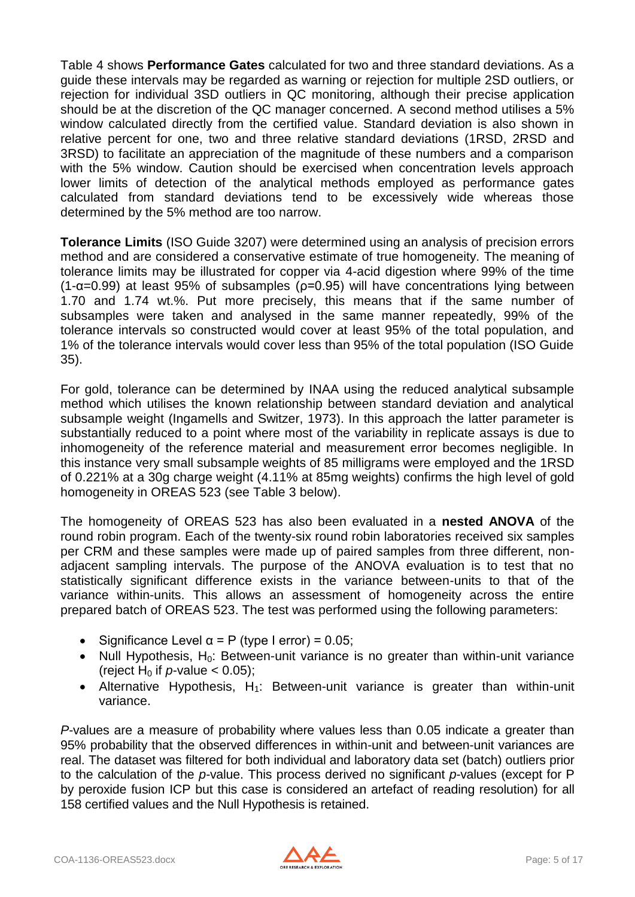Table 4 shows **Performance Gates** calculated for two and three standard deviations. As a guide these intervals may be regarded as warning or rejection for multiple 2SD outliers, or rejection for individual 3SD outliers in QC monitoring, although their precise application should be at the discretion of the QC manager concerned. A second method utilises a 5% window calculated directly from the certified value. Standard deviation is also shown in relative percent for one, two and three relative standard deviations (1RSD, 2RSD and 3RSD) to facilitate an appreciation of the magnitude of these numbers and a comparison with the 5% window. Caution should be exercised when concentration levels approach lower limits of detection of the analytical methods employed as performance gates calculated from standard deviations tend to be excessively wide whereas those determined by the 5% method are too narrow.

**Tolerance Limits** (ISO Guide 3207) were determined using an analysis of precision errors method and are considered a conservative estimate of true homogeneity. The meaning of tolerance limits may be illustrated for copper via 4-acid digestion where 99% of the time (1- $\alpha$ =0.99) at least 95% of subsamples ( $\rho$ =0.95) will have concentrations lying between 1.70 and 1.74 wt.%. Put more precisely, this means that if the same number of subsamples were taken and analysed in the same manner repeatedly, 99% of the tolerance intervals so constructed would cover at least 95% of the total population, and 1% of the tolerance intervals would cover less than 95% of the total population (ISO Guide 35).

For gold, tolerance can be determined by INAA using the reduced analytical subsample method which utilises the known relationship between standard deviation and analytical subsample weight (Ingamells and Switzer, 1973). In this approach the latter parameter is substantially reduced to a point where most of the variability in replicate assays is due to inhomogeneity of the reference material and measurement error becomes negligible. In this instance very small subsample weights of 85 milligrams were employed and the 1RSD of 0.221% at a 30g charge weight (4.11% at 85mg weights) confirms the high level of gold homogeneity in OREAS 523 (see Table 3 below).

The homogeneity of OREAS 523 has also been evaluated in a **nested ANOVA** of the round robin program. Each of the twenty-six round robin laboratories received six samples per CRM and these samples were made up of paired samples from three different, nonadjacent sampling intervals. The purpose of the ANOVA evaluation is to test that no statistically significant difference exists in the variance between-units to that of the variance within-units. This allows an assessment of homogeneity across the entire prepared batch of OREAS 523. The test was performed using the following parameters:

- Significance Level  $\alpha$  = P (type I error) = 0.05;
- Null Hypothesis,  $H_0$ : Between-unit variance is no greater than within-unit variance (reject H<sub>0</sub> if  $p$ -value < 0.05);
- Alternative Hypothesis,  $H_1$ : Between-unit variance is greater than within-unit variance.

*P*-values are a measure of probability where values less than 0.05 indicate a greater than 95% probability that the observed differences in within-unit and between-unit variances are real. The dataset was filtered for both individual and laboratory data set (batch) outliers prior to the calculation of the *p*-value. This process derived no significant *p*-values (except for P by peroxide fusion ICP but this case is considered an artefact of reading resolution) for all 158 certified values and the Null Hypothesis is retained.

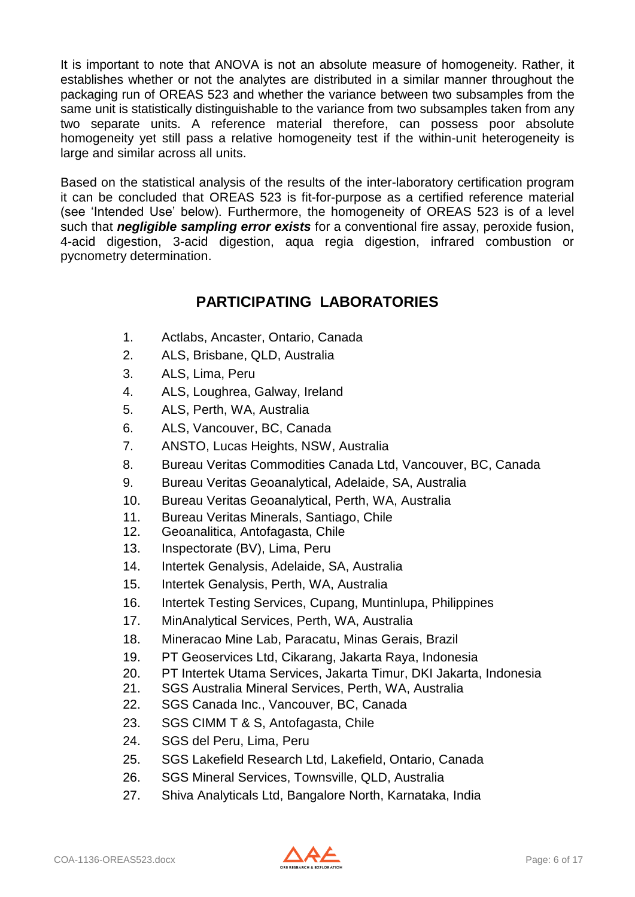It is important to note that ANOVA is not an absolute measure of homogeneity. Rather, it establishes whether or not the analytes are distributed in a similar manner throughout the packaging run of OREAS 523 and whether the variance between two subsamples from the same unit is statistically distinguishable to the variance from two subsamples taken from any two separate units. A reference material therefore, can possess poor absolute homogeneity yet still pass a relative homogeneity test if the within-unit heterogeneity is large and similar across all units.

Based on the statistical analysis of the results of the inter-laboratory certification program it can be concluded that OREAS 523 is fit-for-purpose as a certified reference material (see 'Intended Use' below). Furthermore, the homogeneity of OREAS 523 is of a level such that *negligible sampling error exists* for a conventional fire assay, peroxide fusion, 4-acid digestion, 3-acid digestion, aqua regia digestion, infrared combustion or pycnometry determination.

# **PARTICIPATING LABORATORIES**

- 1. Actlabs, Ancaster, Ontario, Canada
- 2. ALS, Brisbane, QLD, Australia
- 3. ALS, Lima, Peru
- 4. ALS, Loughrea, Galway, Ireland
- 5. ALS, Perth, WA, Australia
- 6. ALS, Vancouver, BC, Canada
- 7. ANSTO, Lucas Heights, NSW, Australia
- 8. Bureau Veritas Commodities Canada Ltd, Vancouver, BC, Canada
- 9. Bureau Veritas Geoanalytical, Adelaide, SA, Australia
- 10. Bureau Veritas Geoanalytical, Perth, WA, Australia
- 11. Bureau Veritas Minerals, Santiago, Chile
- 12. Geoanalitica, Antofagasta, Chile
- 13. Inspectorate (BV), Lima, Peru
- 14. Intertek Genalysis, Adelaide, SA, Australia
- 15. Intertek Genalysis, Perth, WA, Australia
- 16. Intertek Testing Services, Cupang, Muntinlupa, Philippines
- 17. MinAnalytical Services, Perth, WA, Australia
- 18. Mineracao Mine Lab, Paracatu, Minas Gerais, Brazil
- 19. PT Geoservices Ltd, Cikarang, Jakarta Raya, Indonesia
- 20. PT Intertek Utama Services, Jakarta Timur, DKI Jakarta, Indonesia
- 21. SGS Australia Mineral Services, Perth, WA, Australia
- 22. SGS Canada Inc., Vancouver, BC, Canada
- 23. SGS CIMM T & S, Antofagasta, Chile
- 24. SGS del Peru, Lima, Peru
- 25. SGS Lakefield Research Ltd, Lakefield, Ontario, Canada
- 26. SGS Mineral Services, Townsville, QLD, Australia
- 27. Shiva Analyticals Ltd, Bangalore North, Karnataka, India

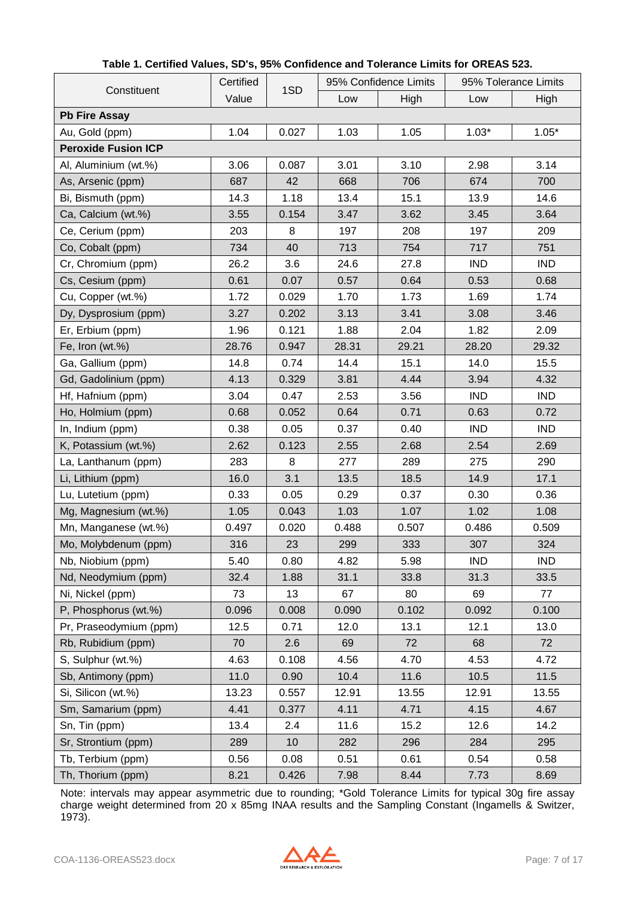|                            | Certified | 1SD   |       | 95% Confidence Limits | 95% Tolerance Limits |            |  |
|----------------------------|-----------|-------|-------|-----------------------|----------------------|------------|--|
| Constituent                | Value     |       | Low   | High                  | Low                  | High       |  |
| <b>Pb Fire Assay</b>       |           |       |       |                       |                      |            |  |
| Au, Gold (ppm)             | 1.04      | 0.027 | 1.03  | 1.05                  | $1.03*$              | $1.05*$    |  |
| <b>Peroxide Fusion ICP</b> |           |       |       |                       |                      |            |  |
| Al, Aluminium (wt.%)       | 3.06      | 0.087 | 3.01  | 3.10                  | 2.98                 | 3.14       |  |
| As, Arsenic (ppm)          | 687       | 42    | 668   | 706                   | 674                  | 700        |  |
| Bi, Bismuth (ppm)          | 14.3      | 1.18  | 13.4  | 15.1                  | 13.9                 | 14.6       |  |
| Ca, Calcium (wt.%)         | 3.55      | 0.154 | 3.47  | 3.62                  | 3.45                 | 3.64       |  |
| Ce, Cerium (ppm)           | 203       | 8     | 197   | 208                   | 197                  | 209        |  |
| Co, Cobalt (ppm)           | 734       | 40    | 713   | 754                   | 717                  | 751        |  |
| Cr, Chromium (ppm)         | 26.2      | 3.6   | 24.6  | 27.8                  | <b>IND</b>           | <b>IND</b> |  |
| Cs, Cesium (ppm)           | 0.61      | 0.07  | 0.57  | 0.64                  | 0.53                 | 0.68       |  |
| Cu, Copper (wt.%)          | 1.72      | 0.029 | 1.70  | 1.73                  | 1.69                 | 1.74       |  |
| Dy, Dysprosium (ppm)       | 3.27      | 0.202 | 3.13  | 3.41                  | 3.08                 | 3.46       |  |
| Er, Erbium (ppm)           | 1.96      | 0.121 | 1.88  | 2.04                  | 1.82                 | 2.09       |  |
| Fe, Iron (wt.%)            | 28.76     | 0.947 | 28.31 | 29.21                 | 28.20                | 29.32      |  |
| Ga, Gallium (ppm)          | 14.8      | 0.74  | 14.4  | 15.1                  | 14.0                 | 15.5       |  |
| Gd, Gadolinium (ppm)       | 4.13      | 0.329 | 3.81  | 4.44                  | 3.94                 | 4.32       |  |
| Hf, Hafnium (ppm)          | 3.04      | 0.47  | 2.53  | 3.56                  | <b>IND</b>           | <b>IND</b> |  |
| Ho, Holmium (ppm)          | 0.68      | 0.052 | 0.64  | 0.71                  | 0.63                 | 0.72       |  |
| In, Indium (ppm)           | 0.38      | 0.05  | 0.37  | 0.40                  | <b>IND</b>           | <b>IND</b> |  |
| K, Potassium (wt.%)        | 2.62      | 0.123 | 2.55  | 2.68                  | 2.54                 | 2.69       |  |
| La, Lanthanum (ppm)        | 283       | 8     | 277   | 289                   | 275                  | 290        |  |
| Li, Lithium (ppm)          | 16.0      | 3.1   | 13.5  | 18.5                  | 14.9                 | 17.1       |  |
| Lu, Lutetium (ppm)         | 0.33      | 0.05  | 0.29  | 0.37                  | 0.30                 | 0.36       |  |
| Mg, Magnesium (wt.%)       | 1.05      | 0.043 | 1.03  | 1.07                  | 1.02                 | 1.08       |  |
| Mn, Manganese (wt.%)       | 0.497     | 0.020 | 0.488 | 0.507                 | 0.486                | 0.509      |  |
| Mo, Molybdenum (ppm)       | 316       | 23    | 299   | 333                   | 307                  | 324        |  |
| Nb, Niobium (ppm)          | 5.40      | 0.80  | 4.82  | 5.98                  | <b>IND</b>           | <b>IND</b> |  |
| Nd, Neodymium (ppm)        | 32.4      | 1.88  | 31.1  | 33.8                  | 31.3                 | 33.5       |  |
| Ni, Nickel (ppm)           | 73        | 13    | 67    | 80                    | 69                   | 77         |  |
| P, Phosphorus (wt.%)       | 0.096     | 0.008 | 0.090 | 0.102                 | 0.092                | 0.100      |  |
| Pr, Praseodymium (ppm)     | 12.5      | 0.71  | 12.0  | 13.1                  | 12.1                 | 13.0       |  |
| Rb, Rubidium (ppm)         | 70        | 2.6   | 69    | 72                    | 68                   | 72         |  |
| S, Sulphur (wt.%)          | 4.63      | 0.108 | 4.56  | 4.70                  | 4.53                 | 4.72       |  |
| Sb, Antimony (ppm)         | 11.0      | 0.90  | 10.4  | 11.6                  | 10.5                 | 11.5       |  |
| Si, Silicon (wt.%)         | 13.23     | 0.557 | 12.91 | 13.55                 | 12.91                | 13.55      |  |
| Sm, Samarium (ppm)         | 4.41      | 0.377 | 4.11  | 4.71                  | 4.15                 | 4.67       |  |
| Sn, Tin (ppm)              | 13.4      | 2.4   | 11.6  | 15.2                  | 12.6                 | 14.2       |  |
| Sr, Strontium (ppm)        | 289       | 10    | 282   | 296                   | 284                  | 295        |  |
| Tb, Terbium (ppm)          | 0.56      | 0.08  | 0.51  | 0.61                  | 0.54                 | 0.58       |  |
| Th, Thorium (ppm)          | 8.21      | 0.426 | 7.98  | 8.44                  | 7.73                 | 8.69       |  |

#### **Table 1. Certified Values, SD's, 95% Confidence and Tolerance Limits for OREAS 523.**

Note: intervals may appear asymmetric due to rounding; \*Gold Tolerance Limits for typical 30g fire assay charge weight determined from 20 x 85mg INAA results and the Sampling Constant (Ingamells & Switzer, 1973).

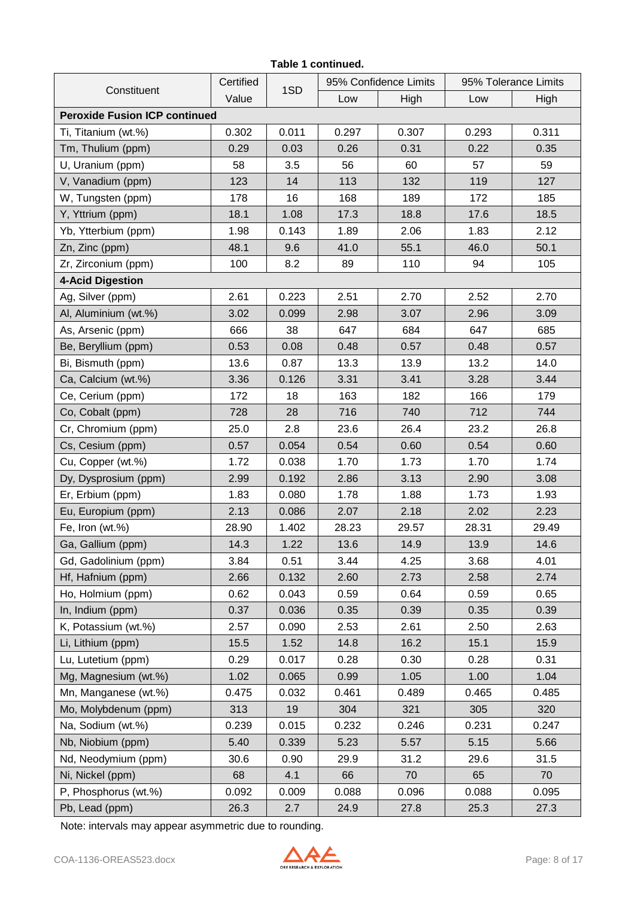#### **Table 1 continued.**

| Constituent                          | Certified | 1SD   |       | 95% Confidence Limits | 95% Tolerance Limits |       |  |
|--------------------------------------|-----------|-------|-------|-----------------------|----------------------|-------|--|
|                                      | Value     |       | Low   | High                  | Low                  | High  |  |
| <b>Peroxide Fusion ICP continued</b> |           |       |       |                       |                      |       |  |
| Ti, Titanium (wt.%)                  | 0.302     | 0.011 | 0.297 | 0.307                 | 0.293                | 0.311 |  |
| Tm, Thulium (ppm)                    | 0.29      | 0.03  | 0.26  | 0.31                  | 0.22                 | 0.35  |  |
| U, Uranium (ppm)                     | 58        | 3.5   | 56    | 60                    | 57                   | 59    |  |
| V, Vanadium (ppm)                    | 123       | 14    | 113   | 132                   | 119                  | 127   |  |
| W, Tungsten (ppm)                    | 178       | 16    | 168   | 189                   | 172                  | 185   |  |
| Y, Yttrium (ppm)                     | 18.1      | 1.08  | 17.3  | 18.8                  | 17.6                 | 18.5  |  |
| Yb, Ytterbium (ppm)                  | 1.98      | 0.143 | 1.89  | 2.06                  | 1.83                 | 2.12  |  |
| Zn, Zinc (ppm)                       | 48.1      | 9.6   | 41.0  | 55.1                  | 46.0                 | 50.1  |  |
| Zr, Zirconium (ppm)                  | 100       | 8.2   | 89    | 110                   | 94                   | 105   |  |
| <b>4-Acid Digestion</b>              |           |       |       |                       |                      |       |  |
| Ag, Silver (ppm)                     | 2.61      | 0.223 | 2.51  | 2.70                  | 2.52                 | 2.70  |  |
| Al, Aluminium (wt.%)                 | 3.02      | 0.099 | 2.98  | 3.07                  | 2.96                 | 3.09  |  |
| As, Arsenic (ppm)                    | 666       | 38    | 647   | 684                   | 647                  | 685   |  |
| Be, Beryllium (ppm)                  | 0.53      | 0.08  | 0.48  | 0.57                  | 0.48                 | 0.57  |  |
| Bi, Bismuth (ppm)                    | 13.6      | 0.87  | 13.3  | 13.9                  | 13.2                 | 14.0  |  |
| Ca, Calcium (wt.%)                   | 3.36      | 0.126 | 3.31  | 3.41                  | 3.28                 | 3.44  |  |
| Ce, Cerium (ppm)                     | 172       | 18    | 163   | 182                   | 166                  | 179   |  |
| Co, Cobalt (ppm)                     | 728       | 28    | 716   | 740                   | 712                  | 744   |  |
| Cr, Chromium (ppm)                   | 25.0      | 2.8   | 23.6  | 26.4                  | 23.2                 | 26.8  |  |
| Cs, Cesium (ppm)                     | 0.57      | 0.054 | 0.54  | 0.60                  | 0.54                 | 0.60  |  |
| Cu, Copper (wt.%)                    | 1.72      | 0.038 | 1.70  | 1.73                  | 1.70                 | 1.74  |  |
| Dy, Dysprosium (ppm)                 | 2.99      | 0.192 | 2.86  | 3.13                  | 2.90                 | 3.08  |  |
| Er, Erbium (ppm)                     | 1.83      | 0.080 | 1.78  | 1.88                  | 1.73                 | 1.93  |  |
| Eu, Europium (ppm)                   | 2.13      | 0.086 | 2.07  | 2.18                  | 2.02                 | 2.23  |  |
| Fe, Iron (wt.%)                      | 28.90     | 1.402 | 28.23 | 29.57                 | 28.31                | 29.49 |  |
| Ga, Gallium (ppm)                    | 14.3      | 1.22  | 13.6  | 14.9                  | 13.9                 | 14.6  |  |
| Gd, Gadolinium (ppm)                 | 3.84      | 0.51  | 3.44  | 4.25                  | 3.68                 | 4.01  |  |
| Hf, Hafnium (ppm)                    | 2.66      | 0.132 | 2.60  | 2.73                  | 2.58                 | 2.74  |  |
| Ho, Holmium (ppm)                    | 0.62      | 0.043 | 0.59  | 0.64                  | 0.59                 | 0.65  |  |
| In, Indium (ppm)                     | 0.37      | 0.036 | 0.35  | 0.39                  | 0.35                 | 0.39  |  |
| K, Potassium (wt.%)                  | 2.57      | 0.090 | 2.53  | 2.61                  | 2.50                 | 2.63  |  |
| Li, Lithium (ppm)                    | 15.5      | 1.52  | 14.8  | 16.2                  | 15.1                 | 15.9  |  |
| Lu, Lutetium (ppm)                   | 0.29      | 0.017 | 0.28  | 0.30                  | 0.28                 | 0.31  |  |
| Mg, Magnesium (wt.%)                 | 1.02      | 0.065 | 0.99  | 1.05                  | 1.00                 | 1.04  |  |
| Mn, Manganese (wt.%)                 | 0.475     | 0.032 | 0.461 | 0.489                 | 0.465                | 0.485 |  |
| Mo, Molybdenum (ppm)                 | 313       | 19    | 304   | 321                   | 305                  | 320   |  |
| Na, Sodium (wt.%)                    | 0.239     | 0.015 | 0.232 | 0.246                 | 0.231                | 0.247 |  |
| Nb, Niobium (ppm)                    | 5.40      | 0.339 | 5.23  | 5.57                  | 5.15                 | 5.66  |  |
| Nd, Neodymium (ppm)                  | 30.6      | 0.90  | 29.9  | 31.2                  | 29.6                 | 31.5  |  |
| Ni, Nickel (ppm)                     | 68        | 4.1   | 66    | 70                    | 65                   | 70    |  |
| P, Phosphorus (wt.%)                 | 0.092     | 0.009 | 0.088 | 0.096                 | 0.088                | 0.095 |  |
| Pb, Lead (ppm)                       | 26.3      | 2.7   | 24.9  | 27.8                  | 25.3                 | 27.3  |  |

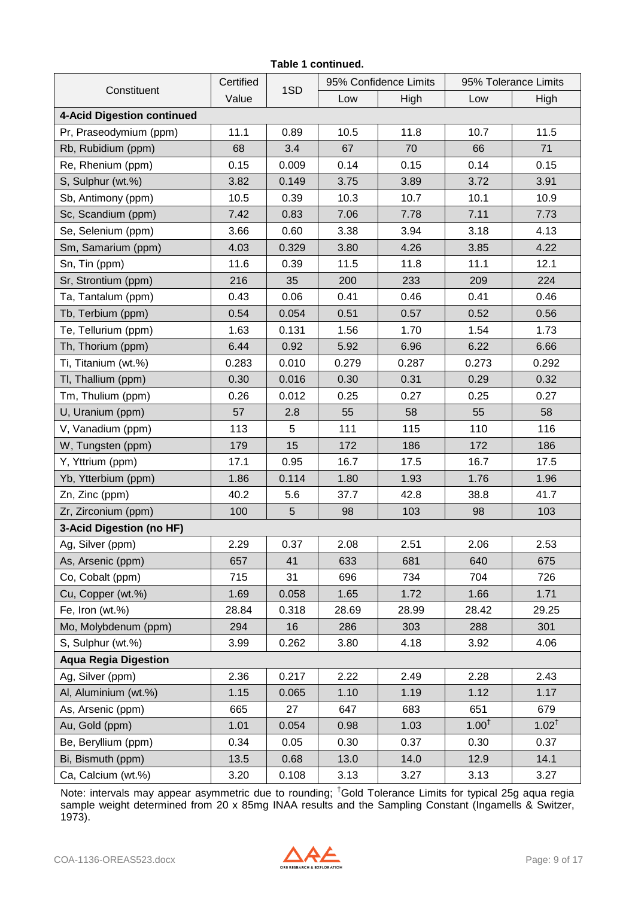#### **Constituent Certified** 1SD 95% Confidence Limits | 95% Tolerance Limits Value Low High Low High **4-Acid Digestion continued** Pr, Praseodymium (ppm) | 11.1 | 0.89 | 10.5 | 11.8 | 10.7 | 11.5 Rb, Rubidium (ppm) 68 3.4 67 70 66 71 Re, Rhenium (ppm) 0.15 0.009 0.14 0.15 0.14 0.15 S, Sulphur (wt.%) | 3.82 | 0.149 | 3.75 | 3.89 | 3.72 | 3.91 Sb, Antimony (ppm) 10.5 0.39 10.3 10.7 10.1 10.9 Sc, Scandium (ppm) 7.42 0.83 7.06 7.78 7.11 7.73 Se, Selenium (ppm) 3.66 0.60 3.38 3.94 3.18 4.13 Sm, Samarium (ppm)  $\begin{array}{|c|c|c|c|c|c|c|c|} \hline \end{array}$  4.03 0.329 3.80 4.26 3.85 4.22 Sn, Tin (ppm) 11.6 0.39 11.5 11.8 11.1 12.1 Sr, Strontium (ppm) 216 35 200 233 209 224 Ta, Tantalum (ppm) 0.43 0.06 0.41 0.46 0.41 0.46 Tb, Terbium (ppm) 0.54 0.054 0.51 0.57 0.52 0.56 Te, Tellurium (ppm) 1.63 0.131 1.56 1.70 1.54 1.73 Th, Thorium (ppm) 6.44 0.92 5.92 6.96 6.22 6.66 Ti, Titanium (wt.%) | 0.283 | 0.010 | 0.279 | 0.287 | 0.273 | 0.292 Tl, Thallium (ppm) 0.30 0.016 0.30 0.31 0.29 0.32 Tm, Thulium (ppm) 0.26 0.012 0.25 0.27 0.25 0.27 U, Uranium (ppm) 57 2.8 55 58 55 58 V, Vanadium (ppm) | 113 | 5 | 111 | 115 | 110 | 116 W, Tungsten (ppm)  $\vert$  179 | 15 | 172 | 186 | 172 | 186 Y, Yttrium (ppm) | 17.1 | 0.95 | 16.7 | 17.5 | 16.7 | 17.5 Yb, Ytterbium (ppm) | 1.86 | 0.114 | 1.80 | 1.93 | 1.76 | 1.96 Zn, Zinc (ppm) 40.2 5.6 37.7 42.8 38.8 41.7 Zr, Zirconium (ppm) | 100 | 5 | 98 | 103 | 98 | 103 **3-Acid Digestion (no HF)** Ag, Silver (ppm) 2.29 0.37 2.08 2.51 2.06 2.53 As, Arsenic (ppm) | 657 | 41 | 633 | 681 | 640 | 675 Co, Cobalt (ppm) 715 31 696 734 704 726 Cu, Copper (wt.%) | 1.69 | 0.058 | 1.65 | 1.72 | 1.66 | 1.71 Fe, Iron (wt.%) 28.84 0.318 28.69 28.99 28.42 29.25 Mo, Molybdenum (ppm) 294 16 286 303 288 301 S, Sulphur (wt.%) 3.99 0.262 3.80 4.18 3.92 4.06 **Aqua Regia Digestion** Ag, Silver (ppm) 2.36 0.217 2.22 2.49 2.28 2.43 Al, Aluminium (wt.%) | 1.15 | 0.065 | 1.10 | 1.19 | 1.12 | 1.17 As, Arsenic (ppm) 665 27 647 683 651 679 Au, Gold (ppm) 1.01 0.054 0.98 1.03 1.00<sup>†</sup>  $1.02^{\dagger}$ Be, Beryllium (ppm) 0.34 0.05 0.30 0.37 0.30 0.37 Bi, Bismuth (ppm) | 13.5 | 0.68 | 13.0 | 14.0 | 12.9 | 14.1 Ca, Calcium (wt.%) | 3.20 0.108 | 3.13 | 3.27 | 3.13 | 3.27

**Table 1 continued.**

Note: intervals may appear asymmetric due to rounding; †Gold Tolerance Limits for typical 25g aqua regia sample weight determined from 20 x 85mg INAA results and the Sampling Constant (Ingamells & Switzer, 1973).

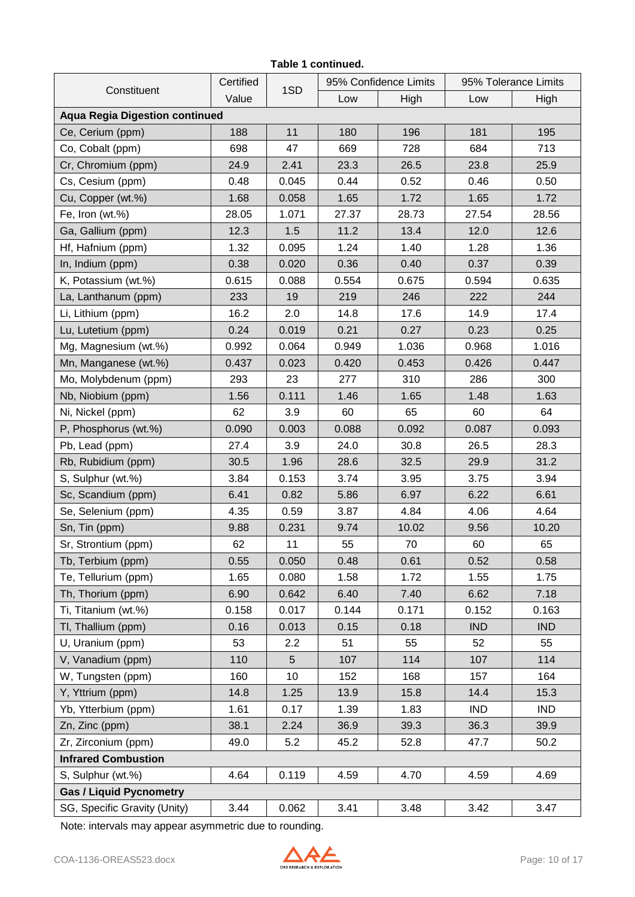#### **Table 1 continued.**

| Constituent                           | Certified | 1SD             |       | 95% Confidence Limits | 95% Tolerance Limits |            |  |
|---------------------------------------|-----------|-----------------|-------|-----------------------|----------------------|------------|--|
|                                       | Value     |                 | Low   | High                  | Low                  | High       |  |
| <b>Aqua Regia Digestion continued</b> |           |                 |       |                       |                      |            |  |
| Ce, Cerium (ppm)                      | 188       | 11              | 180   | 196                   | 181                  | 195        |  |
| Co, Cobalt (ppm)                      | 698       | 47              | 669   | 728                   | 684                  | 713        |  |
| Cr, Chromium (ppm)                    | 24.9      | 2.41            | 23.3  | 26.5                  | 23.8                 | 25.9       |  |
| Cs, Cesium (ppm)                      | 0.48      | 0.045           | 0.44  | 0.52                  | 0.46                 | 0.50       |  |
| Cu, Copper (wt.%)                     | 1.68      | 0.058           | 1.65  | 1.72                  | 1.65                 | 1.72       |  |
| Fe, Iron (wt.%)                       | 28.05     | 1.071           | 27.37 | 28.73                 | 27.54                | 28.56      |  |
| Ga, Gallium (ppm)                     | 12.3      | 1.5             | 11.2  | 13.4                  | 12.0                 | 12.6       |  |
| Hf, Hafnium (ppm)                     | 1.32      | 0.095           | 1.24  | 1.40                  | 1.28                 | 1.36       |  |
| In, Indium (ppm)                      | 0.38      | 0.020           | 0.36  | 0.40                  | 0.37                 | 0.39       |  |
| K, Potassium (wt.%)                   | 0.615     | 0.088           | 0.554 | 0.675                 | 0.594                | 0.635      |  |
| La, Lanthanum (ppm)                   | 233       | 19              | 219   | 246                   | 222                  | 244        |  |
| Li, Lithium (ppm)                     | 16.2      | 2.0             | 14.8  | 17.6                  | 14.9                 | 17.4       |  |
| Lu, Lutetium (ppm)                    | 0.24      | 0.019           | 0.21  | 0.27                  | 0.23                 | 0.25       |  |
| Mg, Magnesium (wt.%)                  | 0.992     | 0.064           | 0.949 | 1.036                 | 0.968                | 1.016      |  |
| Mn, Manganese (wt.%)                  | 0.437     | 0.023           | 0.420 | 0.453                 | 0.426                | 0.447      |  |
| Mo, Molybdenum (ppm)                  | 293       | 23              | 277   | 310                   | 286                  | 300        |  |
| Nb, Niobium (ppm)                     | 1.56      | 0.111           | 1.46  | 1.65                  | 1.48                 | 1.63       |  |
| Ni, Nickel (ppm)                      | 62        | 3.9             | 60    | 65                    | 60                   | 64         |  |
| P, Phosphorus (wt.%)                  | 0.090     | 0.003           | 0.088 | 0.092                 | 0.087                | 0.093      |  |
| Pb, Lead (ppm)                        | 27.4      | 3.9             | 24.0  | 30.8                  | 26.5                 | 28.3       |  |
| Rb, Rubidium (ppm)                    | 30.5      | 1.96            | 28.6  | 32.5                  | 29.9                 | 31.2       |  |
| S, Sulphur (wt.%)                     | 3.84      | 0.153           | 3.74  | 3.95                  | 3.75                 | 3.94       |  |
| Sc, Scandium (ppm)                    | 6.41      | 0.82            | 5.86  | 6.97                  | 6.22                 | 6.61       |  |
| Se, Selenium (ppm)                    | 4.35      | 0.59            | 3.87  | 4.84                  | 4.06                 | 4.64       |  |
| Sn, Tin (ppm)                         | 9.88      | 0.231           | 9.74  | 10.02                 | 9.56                 | 10.20      |  |
| Sr, Strontium (ppm)                   | 62        | 11              | 55    | 70                    | 60                   | 65         |  |
| Tb, Terbium (ppm)                     | 0.55      | 0.050           | 0.48  | 0.61                  | 0.52                 | 0.58       |  |
| Te, Tellurium (ppm)                   | 1.65      | 0.080           | 1.58  | 1.72                  | 1.55                 | 1.75       |  |
| Th, Thorium (ppm)                     | 6.90      | 0.642           | 6.40  | 7.40                  | 6.62                 | 7.18       |  |
| Ti, Titanium (wt.%)                   | 0.158     | 0.017           | 0.144 | 0.171                 | 0.152                | 0.163      |  |
| Tl, Thallium (ppm)                    | 0.16      | 0.013           | 0.15  | 0.18                  | <b>IND</b>           | <b>IND</b> |  |
| U, Uranium (ppm)                      | 53        | 2.2             | 51    | 55                    | 52                   | 55         |  |
| V, Vanadium (ppm)                     | 110       | 5               | 107   | 114                   | 107                  | 114        |  |
| W, Tungsten (ppm)                     | 160       | 10 <sup>1</sup> | 152   | 168                   | 157                  | 164        |  |
| Y, Yttrium (ppm)                      | 14.8      | 1.25            | 13.9  | 15.8                  | 14.4                 | 15.3       |  |
| Yb, Ytterbium (ppm)                   | 1.61      | 0.17            | 1.39  | 1.83                  | <b>IND</b>           | <b>IND</b> |  |
| Zn, Zinc (ppm)                        | 38.1      | 2.24            | 36.9  | 39.3                  | 36.3                 | 39.9       |  |
| Zr, Zirconium (ppm)                   | 49.0      | 5.2             | 45.2  | 52.8                  | 47.7                 | 50.2       |  |
| <b>Infrared Combustion</b>            |           |                 |       |                       |                      |            |  |
| S, Sulphur (wt.%)                     | 4.64      | 0.119           | 4.59  | 4.70                  | 4.59                 | 4.69       |  |
| <b>Gas / Liquid Pycnometry</b>        |           |                 |       |                       |                      |            |  |
| SG, Specific Gravity (Unity)          | 3.44      | 0.062           | 3.41  | 3.48                  | 3.42                 | 3.47       |  |

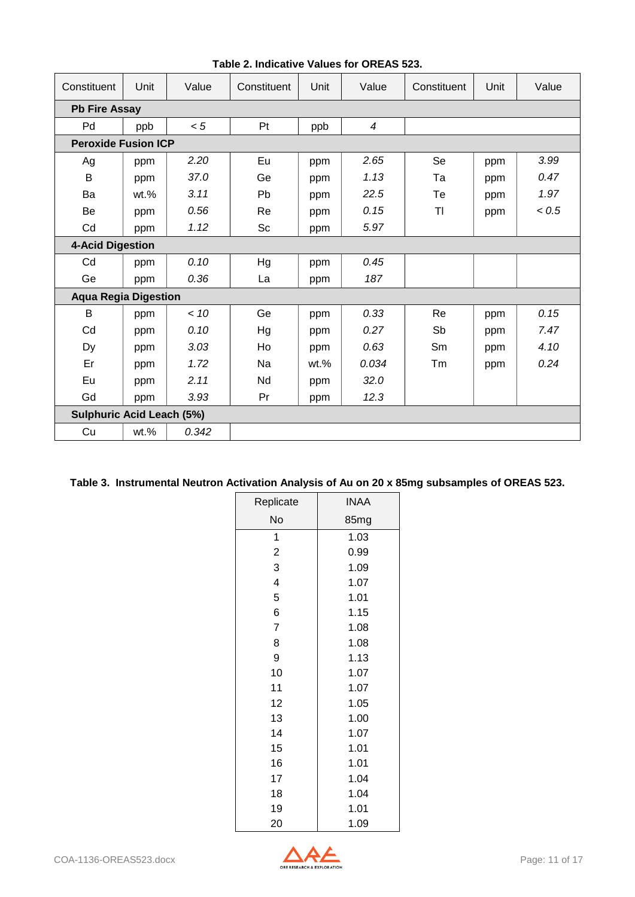| Constituent                      | Unit                    | Value | Constituent | Unit    | Value          | Constituent | Unit | Value |  |  |
|----------------------------------|-------------------------|-------|-------------|---------|----------------|-------------|------|-------|--|--|
| <b>Pb Fire Assay</b>             |                         |       |             |         |                |             |      |       |  |  |
| Pd                               | ppb                     | < 5   | Pt          | ppb     | $\overline{4}$ |             |      |       |  |  |
| <b>Peroxide Fusion ICP</b>       |                         |       |             |         |                |             |      |       |  |  |
| Ag                               | ppm                     | 2.20  | Eu          | ppm     | 2.65           | Se          | ppm  | 3.99  |  |  |
| B                                | ppm                     | 37.0  | Ge          | ppm     | 1.13           | Ta          | ppm  | 0.47  |  |  |
| Ba                               | $wt.$ %                 | 3.11  | Pb          | ppm     | 22.5           | Te          | ppm  | 1.97  |  |  |
| Be                               | ppm                     | 0.56  | Re          | ppm     | 0.15           | TI          | ppm  | < 0.5 |  |  |
| Cd                               | ppm                     | 1.12  | Sc          | ppm     | 5.97           |             |      |       |  |  |
|                                  | <b>4-Acid Digestion</b> |       |             |         |                |             |      |       |  |  |
| Cd                               | ppm                     | 0.10  | Hg          | ppm     | 0.45           |             |      |       |  |  |
| Ge                               | ppm                     | 0.36  | La          | ppm     | 187            |             |      |       |  |  |
| <b>Aqua Regia Digestion</b>      |                         |       |             |         |                |             |      |       |  |  |
| $\sf B$                          | ppm                     | < 10  | Ge          | ppm     | 0.33           | Re          | ppm  | 0.15  |  |  |
| Cd                               | ppm                     | 0.10  | Hg          | ppm     | 0.27           | Sb          | ppm  | 7.47  |  |  |
| Dy                               | ppm                     | 3.03  | Ho          | ppm     | 0.63           | Sm          | ppm  | 4.10  |  |  |
| Er                               | ppm                     | 1.72  | Na          | $wt.$ % | 0.034          | Тm          | ppm  | 0.24  |  |  |
| Eu                               | ppm                     | 2.11  | Nd          | ppm     | 32.0           |             |      |       |  |  |
| Gd                               | ppm                     | 3.93  | Pr          | ppm     | 12.3           |             |      |       |  |  |
| <b>Sulphuric Acid Leach (5%)</b> |                         |       |             |         |                |             |      |       |  |  |
| Cu                               | $wt.$ %                 | 0.342 |             |         |                |             |      |       |  |  |

**Table 2. Indicative Values for OREAS 523.**

| Table 3. Instrumental Neutron Activation Analysis of Au on 20 x 85mg subsamples of OREAS 523. |  |  |  |
|-----------------------------------------------------------------------------------------------|--|--|--|
|                                                                                               |  |  |  |
|                                                                                               |  |  |  |

| Replicate      | INAA |
|----------------|------|
| No             | 85mg |
| 1              | 1.03 |
| $\overline{c}$ | 0.99 |
| 3              | 1.09 |
| 4              | 1.07 |
| 5              | 1.01 |
| 6              | 1.15 |
| $\overline{7}$ | 1.08 |
| 8              | 1.08 |
| 9              | 1.13 |
| 10             | 1.07 |
| 11             | 1.07 |
| 12             | 1.05 |
| 13             | 1.00 |
| 14             | 1.07 |
| 15             | 1.01 |
| 16             | 1.01 |
| 17             | 1.04 |
| 18             | 1.04 |
| 19             | 1.01 |
| 20             | 1.09 |

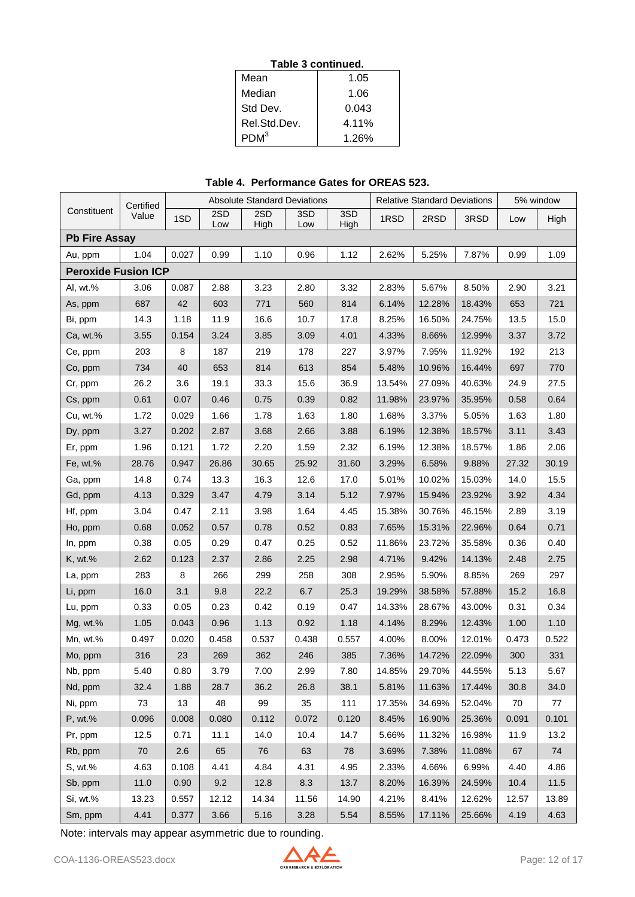|  | Table 3 continued. |  |
|--|--------------------|--|
|  |                    |  |

| Mean             | 1.05  |
|------------------|-------|
| Median           | 1.06  |
| Std Dev.         | 0.043 |
| Rel.Std.Dev.     | 4.11% |
| PDM <sup>3</sup> | 1 26% |

**Table 4. Performance Gates for OREAS 523.**

|                            | Certified |       |       | <b>Absolute Standard Deviations</b> |       |       |        | <b>Relative Standard Deviations</b> | 5% window |       |       |
|----------------------------|-----------|-------|-------|-------------------------------------|-------|-------|--------|-------------------------------------|-----------|-------|-------|
| Constituent                | Value     | 1SD   | 2SD   | 2SD                                 | 3SD   | 3SD   | 1RSD   | 2RSD                                | 3RSD      | Low   | High  |
| <b>Pb Fire Assay</b>       |           |       | Low   | High                                | Low   | High  |        |                                     |           |       |       |
| Au, ppm                    | 1.04      | 0.027 | 0.99  | 1.10                                | 0.96  | 1.12  | 2.62%  | 5.25%                               | 7.87%     | 0.99  | 1.09  |
| <b>Peroxide Fusion ICP</b> |           |       |       |                                     |       |       |        |                                     |           |       |       |
| Al, wt.%                   | 3.06      | 0.087 | 2.88  | 3.23                                | 2.80  | 3.32  | 2.83%  | 5.67%                               | 8.50%     | 2.90  | 3.21  |
| As, ppm                    | 687       | 42    | 603   | 771                                 | 560   | 814   | 6.14%  | 12.28%                              | 18.43%    | 653   | 721   |
| Bi, ppm                    | 14.3      | 1.18  | 11.9  | 16.6                                | 10.7  | 17.8  | 8.25%  | 16.50%                              | 24.75%    | 13.5  | 15.0  |
| Ca, wt.%                   | 3.55      | 0.154 | 3.24  | 3.85                                | 3.09  | 4.01  | 4.33%  | 8.66%                               | 12.99%    | 3.37  | 3.72  |
| Ce, ppm                    | 203       | 8     | 187   | 219                                 | 178   | 227   | 3.97%  | 7.95%                               | 11.92%    | 192   | 213   |
| Co, ppm                    | 734       | 40    | 653   | 814                                 | 613   | 854   | 5.48%  | 10.96%                              | 16.44%    | 697   | 770   |
| Cr, ppm                    | 26.2      | 3.6   | 19.1  | 33.3                                | 15.6  | 36.9  | 13.54% | 27.09%                              | 40.63%    | 24.9  | 27.5  |
| Cs, ppm                    | 0.61      | 0.07  | 0.46  | 0.75                                | 0.39  | 0.82  | 11.98% | 23.97%                              | 35.95%    | 0.58  | 0.64  |
| Cu, wt.%                   | 1.72      | 0.029 | 1.66  | 1.78                                | 1.63  | 1.80  | 1.68%  | 3.37%                               | 5.05%     | 1.63  | 1.80  |
| Dy, ppm                    | 3.27      | 0.202 | 2.87  | 3.68                                | 2.66  | 3.88  | 6.19%  | 12.38%                              | 18.57%    | 3.11  | 3.43  |
| Er, ppm                    | 1.96      | 0.121 | 1.72  | 2.20                                | 1.59  | 2.32  | 6.19%  | 12.38%                              | 18.57%    | 1.86  | 2.06  |
| Fe, wt.%                   | 28.76     | 0.947 | 26.86 | 30.65                               | 25.92 | 31.60 | 3.29%  | 6.58%                               | 9.88%     | 27.32 | 30.19 |
| Ga, ppm                    | 14.8      | 0.74  | 13.3  | 16.3                                | 12.6  | 17.0  | 5.01%  | 10.02%                              | 15.03%    | 14.0  | 15.5  |
| Gd, ppm                    | 4.13      | 0.329 | 3.47  | 4.79                                | 3.14  | 5.12  | 7.97%  | 15.94%                              | 23.92%    | 3.92  | 4.34  |
| Hf, ppm                    | 3.04      | 0.47  | 2.11  | 3.98                                | 1.64  | 4.45  | 15.38% | 30.76%                              | 46.15%    | 2.89  | 3.19  |
| Ho, ppm                    | 0.68      | 0.052 | 0.57  | 0.78                                | 0.52  | 0.83  | 7.65%  | 15.31%                              | 22.96%    | 0.64  | 0.71  |
| In, ppm                    | 0.38      | 0.05  | 0.29  | 0.47                                | 0.25  | 0.52  | 11.86% | 23.72%                              | 35.58%    | 0.36  | 0.40  |
| K, wt.%                    | 2.62      | 0.123 | 2.37  | 2.86                                | 2.25  | 2.98  | 4.71%  | 9.42%                               | 14.13%    | 2.48  | 2.75  |
| La, ppm                    | 283       | 8     | 266   | 299                                 | 258   | 308   | 2.95%  | 5.90%                               | 8.85%     | 269   | 297   |
| Li, ppm                    | 16.0      | 3.1   | 9.8   | 22.2                                | 6.7   | 25.3  | 19.29% | 38.58%                              | 57.88%    | 15.2  | 16.8  |
| Lu, ppm                    | 0.33      | 0.05  | 0.23  | 0.42                                | 0.19  | 0.47  | 14.33% | 28.67%                              | 43.00%    | 0.31  | 0.34  |
| Mg, wt.%                   | 1.05      | 0.043 | 0.96  | 1.13                                | 0.92  | 1.18  | 4.14%  | 8.29%                               | 12.43%    | 1.00  | 1.10  |
| Mn, wt.%                   | 0.497     | 0.020 | 0.458 | 0.537                               | 0.438 | 0.557 | 4.00%  | 8.00%                               | 12.01%    | 0.473 | 0.522 |
| Mo, ppm                    | 316       | 23    | 269   | 362                                 | 246   | 385   | 7.36%  | 14.72%                              | 22.09%    | 300   | 331   |
| Nb, ppm                    | 5.40      | 0.80  | 3.79  | 7.00                                | 2.99  | 7.80  | 14.85% | 29.70%                              | 44.55%    | 5.13  | 5.67  |
| Nd, ppm                    | 32.4      | 1.88  | 28.7  | 36.2                                | 26.8  | 38.1  | 5.81%  | 11.63%                              | 17.44%    | 30.8  | 34.0  |
| Ni, ppm                    | 73        | 13    | 48    | 99                                  | 35    | 111   | 17.35% | 34.69%                              | 52.04%    | 70    | 77    |
| P, wt.%                    | 0.096     | 0.008 | 0.080 | 0.112                               | 0.072 | 0.120 | 8.45%  | 16.90%                              | 25.36%    | 0.091 | 0.101 |
| Pr, ppm                    | 12.5      | 0.71  | 11.1  | 14.0                                | 10.4  | 14.7  | 5.66%  | 11.32%                              | 16.98%    | 11.9  | 13.2  |
| Rb, ppm                    | 70        | 2.6   | 65    | 76                                  | 63    | 78    | 3.69%  | 7.38%                               | 11.08%    | 67    | 74    |
| S, wt.%                    | 4.63      | 0.108 | 4.41  | 4.84                                | 4.31  | 4.95  | 2.33%  | 4.66%                               | 6.99%     | 4.40  | 4.86  |
| Sb, ppm                    | 11.0      | 0.90  | 9.2   | 12.8                                | 8.3   | 13.7  | 8.20%  | 16.39%                              | 24.59%    | 10.4  | 11.5  |
| Si, wt.%                   | 13.23     | 0.557 | 12.12 | 14.34                               | 11.56 | 14.90 | 4.21%  | 8.41%                               | 12.62%    | 12.57 | 13.89 |
| Sm, ppm                    | 4.41      | 0.377 | 3.66  | 5.16                                | 3.28  | 5.54  | 8.55%  | 17.11%                              | 25.66%    | 4.19  | 4.63  |

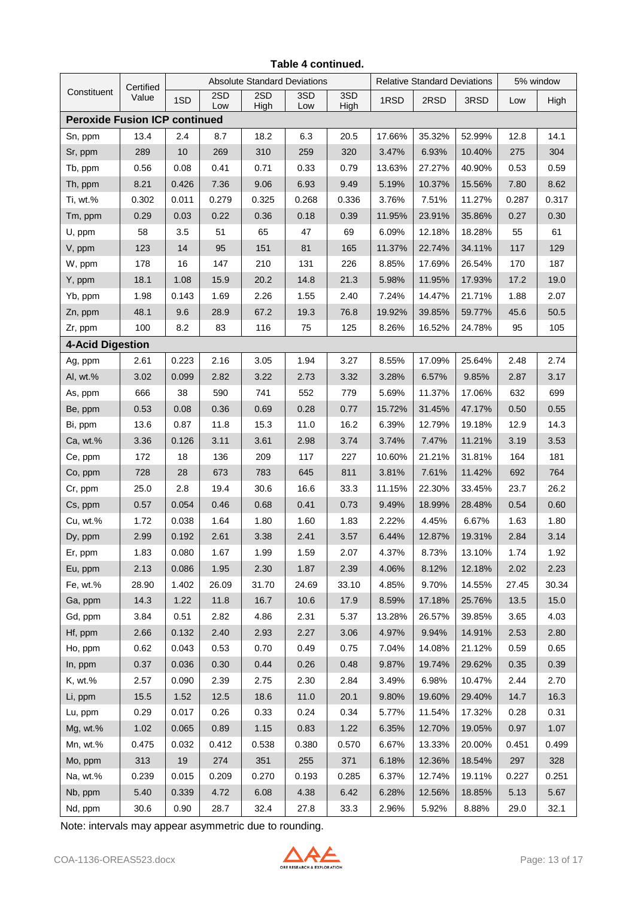|                                      | Certified |       |            | <b>Absolute Standard Deviations</b> |            |             | <b>Relative Standard Deviations</b> |        |        | 5% window |       |
|--------------------------------------|-----------|-------|------------|-------------------------------------|------------|-------------|-------------------------------------|--------|--------|-----------|-------|
| Constituent                          | Value     | 1SD   | 2SD<br>Low | 2SD<br>High                         | 3SD<br>Low | 3SD<br>High | 1RSD                                | 2RSD   | 3RSD   | Low       | High  |
| <b>Peroxide Fusion ICP continued</b> |           |       |            |                                     |            |             |                                     |        |        |           |       |
| Sn, ppm                              | 13.4      | 2.4   | 8.7        | 18.2                                | 6.3        | 20.5        | 17.66%                              | 35.32% | 52.99% | 12.8      | 14.1  |
| Sr, ppm                              | 289       | 10    | 269        | 310                                 | 259        | 320         | 3.47%                               | 6.93%  | 10.40% | 275       | 304   |
| Tb, ppm                              | 0.56      | 0.08  | 0.41       | 0.71                                | 0.33       | 0.79        | 13.63%                              | 27.27% | 40.90% | 0.53      | 0.59  |
| Th, ppm                              | 8.21      | 0.426 | 7.36       | 9.06                                | 6.93       | 9.49        | 5.19%                               | 10.37% | 15.56% | 7.80      | 8.62  |
| Ti, wt.%                             | 0.302     | 0.011 | 0.279      | 0.325                               | 0.268      | 0.336       | 3.76%                               | 7.51%  | 11.27% | 0.287     | 0.317 |
| Tm, ppm                              | 0.29      | 0.03  | 0.22       | 0.36                                | 0.18       | 0.39        | 11.95%                              | 23.91% | 35.86% | 0.27      | 0.30  |
| U, ppm                               | 58        | 3.5   | 51         | 65                                  | 47         | 69          | 6.09%                               | 12.18% | 18.28% | 55        | 61    |
| V, ppm                               | 123       | 14    | 95         | 151                                 | 81         | 165         | 11.37%                              | 22.74% | 34.11% | 117       | 129   |
| W, ppm                               | 178       | 16    | 147        | 210                                 | 131        | 226         | 8.85%                               | 17.69% | 26.54% | 170       | 187   |
| Y, ppm                               | 18.1      | 1.08  | 15.9       | 20.2                                | 14.8       | 21.3        | 5.98%                               | 11.95% | 17.93% | 17.2      | 19.0  |
| Yb, ppm                              | 1.98      | 0.143 | 1.69       | 2.26                                | 1.55       | 2.40        | 7.24%                               | 14.47% | 21.71% | 1.88      | 2.07  |
| Zn, ppm                              | 48.1      | 9.6   | 28.9       | 67.2                                | 19.3       | 76.8        | 19.92%                              | 39.85% | 59.77% | 45.6      | 50.5  |
| Zr, ppm                              | 100       | 8.2   | 83         | 116                                 | 75         | 125         | 8.26%                               | 16.52% | 24.78% | 95        | 105   |
| <b>4-Acid Digestion</b>              |           |       |            |                                     |            |             |                                     |        |        |           |       |
| Ag, ppm                              | 2.61      | 0.223 | 2.16       | 3.05                                | 1.94       | 3.27        | 8.55%                               | 17.09% | 25.64% | 2.48      | 2.74  |
| Al, wt.%                             | 3.02      | 0.099 | 2.82       | 3.22                                | 2.73       | 3.32        | 3.28%                               | 6.57%  | 9.85%  | 2.87      | 3.17  |
| As, ppm                              | 666       | 38    | 590        | 741                                 | 552        | 779         | 5.69%                               | 11.37% | 17.06% | 632       | 699   |
| Be, ppm                              | 0.53      | 0.08  | 0.36       | 0.69                                | 0.28       | 0.77        | 15.72%                              | 31.45% | 47.17% | 0.50      | 0.55  |
| Bi, ppm                              | 13.6      | 0.87  | 11.8       | 15.3                                | 11.0       | 16.2        | 6.39%                               | 12.79% | 19.18% | 12.9      | 14.3  |
| Ca, wt.%                             | 3.36      | 0.126 | 3.11       | 3.61                                | 2.98       | 3.74        | 3.74%                               | 7.47%  | 11.21% | 3.19      | 3.53  |
| Ce, ppm                              | 172       | 18    | 136        | 209                                 | 117        | 227         | 10.60%                              | 21.21% | 31.81% | 164       | 181   |
| Co, ppm                              | 728       | 28    | 673        | 783                                 | 645        | 811         | 3.81%                               | 7.61%  | 11.42% | 692       | 764   |
| Cr, ppm                              | 25.0      | 2.8   | 19.4       | 30.6                                | 16.6       | 33.3        | 11.15%                              | 22.30% | 33.45% | 23.7      | 26.2  |
| Cs, ppm                              | 0.57      | 0.054 | 0.46       | 0.68                                | 0.41       | 0.73        | 9.49%                               | 18.99% | 28.48% | 0.54      | 0.60  |
| Cu, wt.%                             | 1.72      | 0.038 | 1.64       | 1.80                                | 1.60       | 1.83        | 2.22%                               | 4.45%  | 6.67%  | 1.63      | 1.80  |
| Dy, ppm                              | 2.99      | 0.192 | 2.61       | 3.38                                | 2.41       | 3.57        | 6.44%                               | 12.87% | 19.31% | 2.84      | 3.14  |
| Er, ppm                              | 1.83      | 0.080 | 1.67       | 1.99                                | 1.59       | 2.07        | 4.37%                               | 8.73%  | 13.10% | 1.74      | 1.92  |
| Eu, ppm                              | 2.13      | 0.086 | 1.95       | 2.30                                | 1.87       | 2.39        | 4.06%                               | 8.12%  | 12.18% | 2.02      | 2.23  |
| Fe, wt.%                             | 28.90     | 1.402 | 26.09      | 31.70                               | 24.69      | 33.10       | 4.85%                               | 9.70%  | 14.55% | 27.45     | 30.34 |
| Ga, ppm                              | 14.3      | 1.22  | 11.8       | 16.7                                | 10.6       | 17.9        | 8.59%                               | 17.18% | 25.76% | 13.5      | 15.0  |
| Gd, ppm                              | 3.84      | 0.51  | 2.82       | 4.86                                | 2.31       | 5.37        | 13.28%                              | 26.57% | 39.85% | 3.65      | 4.03  |
| Hf, ppm                              | 2.66      | 0.132 | 2.40       | 2.93                                | 2.27       | 3.06        | 4.97%                               | 9.94%  | 14.91% | 2.53      | 2.80  |
| Ho, ppm                              | 0.62      | 0.043 | 0.53       | 0.70                                | 0.49       | 0.75        | 7.04%                               | 14.08% | 21.12% | 0.59      | 0.65  |
| In, ppm                              | 0.37      | 0.036 | 0.30       | 0.44                                | 0.26       | 0.48        | 9.87%                               | 19.74% | 29.62% | 0.35      | 0.39  |
| K, wt.%                              | 2.57      | 0.090 | 2.39       | 2.75                                | 2.30       | 2.84        | 3.49%                               | 6.98%  | 10.47% | 2.44      | 2.70  |
| Li, ppm                              | 15.5      | 1.52  | 12.5       | 18.6                                | 11.0       | 20.1        | 9.80%                               | 19.60% | 29.40% | 14.7      | 16.3  |
| Lu, ppm                              | 0.29      | 0.017 | 0.26       | 0.33                                | 0.24       | 0.34        | 5.77%                               | 11.54% | 17.32% | 0.28      | 0.31  |
| Mg, wt.%                             | 1.02      | 0.065 | 0.89       | 1.15                                | 0.83       | 1.22        | 6.35%                               | 12.70% | 19.05% | 0.97      | 1.07  |
| Mn, wt.%                             | 0.475     | 0.032 | 0.412      | 0.538                               | 0.380      | 0.570       | 6.67%                               | 13.33% | 20.00% | 0.451     | 0.499 |
| Mo, ppm                              | 313       | 19    | 274        | 351                                 | 255        | 371         | 6.18%                               | 12.36% | 18.54% | 297       | 328   |
| Na, wt.%                             | 0.239     | 0.015 | 0.209      | 0.270                               | 0.193      | 0.285       | 6.37%                               | 12.74% | 19.11% | 0.227     | 0.251 |
| Nb, ppm                              | 5.40      | 0.339 | 4.72       | 6.08                                | 4.38       | 6.42        | 6.28%                               | 12.56% | 18.85% | 5.13      | 5.67  |
| Nd, ppm                              | 30.6      | 0.90  | 28.7       | 32.4                                | 27.8       | 33.3        | 2.96%                               | 5.92%  | 8.88%  | 29.0      | 32.1  |

#### **Table 4 continued.**

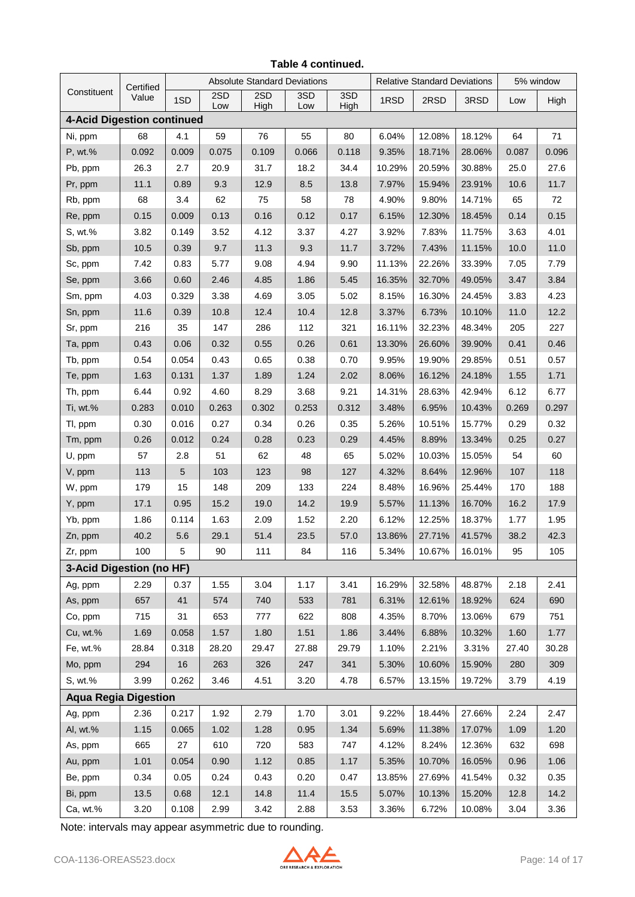|                                   | Certified | <b>Absolute Standard Deviations</b> |            |             | <b>Relative Standard Deviations</b> |             |        | 5% window |        |       |       |
|-----------------------------------|-----------|-------------------------------------|------------|-------------|-------------------------------------|-------------|--------|-----------|--------|-------|-------|
| Constituent                       | Value     | 1SD                                 | 2SD<br>Low | 2SD<br>High | 3SD<br>Low                          | 3SD<br>High | 1RSD   | 2RSD      | 3RSD   | Low   | High  |
| <b>4-Acid Digestion continued</b> |           |                                     |            |             |                                     |             |        |           |        |       |       |
| Ni, ppm                           | 68        | 4.1                                 | 59         | 76          | 55                                  | 80          | 6.04%  | 12.08%    | 18.12% | 64    | $71$  |
| P, wt.%                           | 0.092     | 0.009                               | 0.075      | 0.109       | 0.066                               | 0.118       | 9.35%  | 18.71%    | 28.06% | 0.087 | 0.096 |
| Pb, ppm                           | 26.3      | 2.7                                 | 20.9       | 31.7        | 18.2                                | 34.4        | 10.29% | 20.59%    | 30.88% | 25.0  | 27.6  |
| Pr, ppm                           | 11.1      | 0.89                                | 9.3        | 12.9        | 8.5                                 | 13.8        | 7.97%  | 15.94%    | 23.91% | 10.6  | 11.7  |
| Rb, ppm                           | 68        | 3.4                                 | 62         | 75          | 58                                  | 78          | 4.90%  | 9.80%     | 14.71% | 65    | 72    |
| Re, ppm                           | 0.15      | 0.009                               | 0.13       | 0.16        | 0.12                                | 0.17        | 6.15%  | 12.30%    | 18.45% | 0.14  | 0.15  |
| S, wt.%                           | 3.82      | 0.149                               | 3.52       | 4.12        | 3.37                                | 4.27        | 3.92%  | 7.83%     | 11.75% | 3.63  | 4.01  |
| Sb, ppm                           | 10.5      | 0.39                                | 9.7        | 11.3        | 9.3                                 | 11.7        | 3.72%  | 7.43%     | 11.15% | 10.0  | 11.0  |
| Sc, ppm                           | 7.42      | 0.83                                | 5.77       | 9.08        | 4.94                                | 9.90        | 11.13% | 22.26%    | 33.39% | 7.05  | 7.79  |
| Se, ppm                           | 3.66      | 0.60                                | 2.46       | 4.85        | 1.86                                | 5.45        | 16.35% | 32.70%    | 49.05% | 3.47  | 3.84  |
| Sm, ppm                           | 4.03      | 0.329                               | 3.38       | 4.69        | 3.05                                | 5.02        | 8.15%  | 16.30%    | 24.45% | 3.83  | 4.23  |
| Sn, ppm                           | 11.6      | 0.39                                | 10.8       | 12.4        | 10.4                                | 12.8        | 3.37%  | 6.73%     | 10.10% | 11.0  | 12.2  |
| Sr, ppm                           | 216       | 35                                  | 147        | 286         | 112                                 | 321         | 16.11% | 32.23%    | 48.34% | 205   | 227   |
| Ta, ppm                           | 0.43      | 0.06                                | 0.32       | 0.55        | 0.26                                | 0.61        | 13.30% | 26.60%    | 39.90% | 0.41  | 0.46  |
| Tb, ppm                           | 0.54      | 0.054                               | 0.43       | 0.65        | 0.38                                | 0.70        | 9.95%  | 19.90%    | 29.85% | 0.51  | 0.57  |
| Te, ppm                           | 1.63      | 0.131                               | 1.37       | 1.89        | 1.24                                | 2.02        | 8.06%  | 16.12%    | 24.18% | 1.55  | 1.71  |
| Th, ppm                           | 6.44      | 0.92                                | 4.60       | 8.29        | 3.68                                | 9.21        | 14.31% | 28.63%    | 42.94% | 6.12  | 6.77  |
| Ti, wt.%                          | 0.283     | 0.010                               | 0.263      | 0.302       | 0.253                               | 0.312       | 3.48%  | 6.95%     | 10.43% | 0.269 | 0.297 |
| Tl, ppm                           | 0.30      | 0.016                               | 0.27       | 0.34        | 0.26                                | 0.35        | 5.26%  | 10.51%    | 15.77% | 0.29  | 0.32  |
| Tm, ppm                           | 0.26      | 0.012                               | 0.24       | 0.28        | 0.23                                | 0.29        | 4.45%  | 8.89%     | 13.34% | 0.25  | 0.27  |
| U, ppm                            | 57        | 2.8                                 | 51         | 62          | 48                                  | 65          | 5.02%  | 10.03%    | 15.05% | 54    | 60    |
| V, ppm                            | 113       | 5                                   | 103        | 123         | 98                                  | 127         | 4.32%  | 8.64%     | 12.96% | 107   | 118   |
| W, ppm                            | 179       | 15                                  | 148        | 209         | 133                                 | 224         | 8.48%  | 16.96%    | 25.44% | 170   | 188   |
| Y, ppm                            | 17.1      | 0.95                                | 15.2       | 19.0        | 14.2                                | 19.9        | 5.57%  | 11.13%    | 16.70% | 16.2  | 17.9  |
| Yb, ppm                           | 1.86      | 0.114                               | 1.63       | 2.09        | 1.52                                | 2.20        | 6.12%  | 12.25%    | 18.37% | 1.77  | 1.95  |
| Zn, ppm                           | 40.2      | 5.6                                 | 29.1       | 51.4        | 23.5                                | 57.0        | 13.86% | 27.71%    | 41.57% | 38.2  | 42.3  |
| Zr, ppm                           | 100       | 5                                   | 90         | 111         | 84                                  | 116         | 5.34%  | 10.67%    | 16.01% | 95    | 105   |
| 3-Acid Digestion (no HF)          |           |                                     |            |             |                                     |             |        |           |        |       |       |
| Ag, ppm                           | 2.29      | 0.37                                | 1.55       | 3.04        | 1.17                                | 3.41        | 16.29% | 32.58%    | 48.87% | 2.18  | 2.41  |
| As, ppm                           | 657       | 41                                  | 574        | 740         | 533                                 | 781         | 6.31%  | 12.61%    | 18.92% | 624   | 690   |
| Co, ppm                           | 715       | 31                                  | 653        | 777         | 622                                 | 808         | 4.35%  | 8.70%     | 13.06% | 679   | 751   |
| Cu, wt.%                          | 1.69      | 0.058                               | 1.57       | 1.80        | 1.51                                | 1.86        | 3.44%  | 6.88%     | 10.32% | 1.60  | 1.77  |
| Fe, wt.%                          | 28.84     | 0.318                               | 28.20      | 29.47       | 27.88                               | 29.79       | 1.10%  | 2.21%     | 3.31%  | 27.40 | 30.28 |
| Mo, ppm                           | 294       | 16                                  | 263        | 326         | 247                                 | 341         | 5.30%  | 10.60%    | 15.90% | 280   | 309   |
| S, wt.%                           | 3.99      | 0.262                               | 3.46       | 4.51        | 3.20                                | 4.78        | 6.57%  | 13.15%    | 19.72% | 3.79  | 4.19  |
| <b>Aqua Regia Digestion</b>       |           |                                     |            |             |                                     |             |        |           |        |       |       |
| Ag, ppm                           | 2.36      | 0.217                               | 1.92       | 2.79        | 1.70                                | 3.01        | 9.22%  | 18.44%    | 27.66% | 2.24  | 2.47  |
| Al, wt.%                          | 1.15      | 0.065                               | 1.02       | 1.28        | 0.95                                | 1.34        | 5.69%  | 11.38%    | 17.07% | 1.09  | 1.20  |
| As, ppm                           | 665       | 27                                  | 610        | 720         | 583                                 | 747         | 4.12%  | 8.24%     | 12.36% | 632   | 698   |
| Au, ppm                           | 1.01      | 0.054                               | 0.90       | 1.12        | 0.85                                | 1.17        | 5.35%  | 10.70%    | 16.05% | 0.96  | 1.06  |
| Be, ppm                           | 0.34      | 0.05                                | 0.24       | 0.43        | 0.20                                | 0.47        | 13.85% | 27.69%    | 41.54% | 0.32  | 0.35  |
| Bi, ppm                           | 13.5      | 0.68                                | 12.1       | 14.8        | 11.4                                | 15.5        | 5.07%  | 10.13%    | 15.20% | 12.8  | 14.2  |
| Ca, wt.%                          | 3.20      | 0.108                               | 2.99       | 3.42        | 2.88                                | 3.53        | 3.36%  | 6.72%     | 10.08% | 3.04  | 3.36  |

#### **Table 4 continued.**

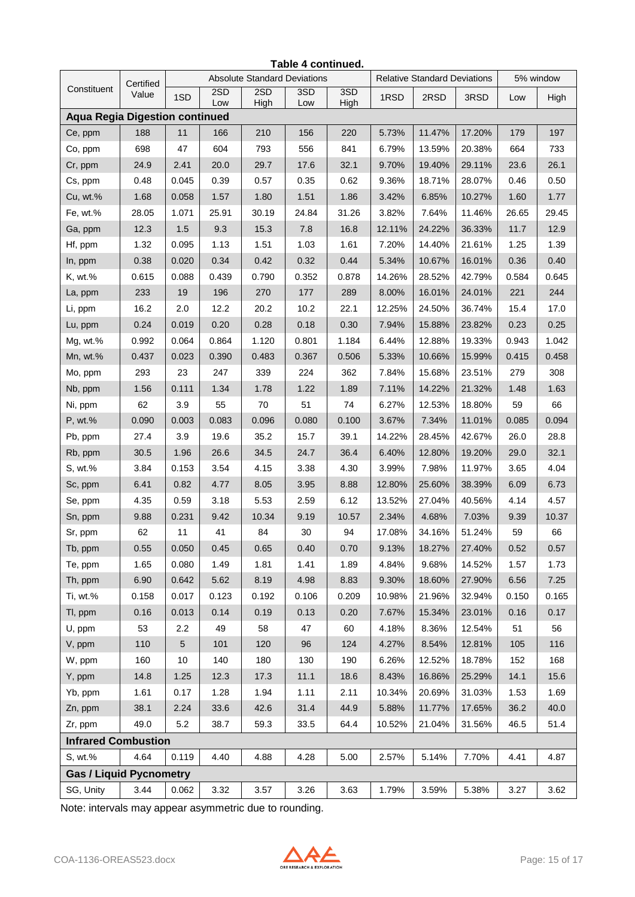| Table 4 continued.                    |           |                                     |            |             |            |             |                                     |        |        |           |       |  |
|---------------------------------------|-----------|-------------------------------------|------------|-------------|------------|-------------|-------------------------------------|--------|--------|-----------|-------|--|
|                                       | Certified | <b>Absolute Standard Deviations</b> |            |             |            |             | <b>Relative Standard Deviations</b> |        |        | 5% window |       |  |
| Constituent                           | Value     | 1SD                                 | 2SD<br>Low | 2SD<br>High | 3SD<br>Low | 3SD<br>High | 1RSD                                | 2RSD   | 3RSD   | Low       | High  |  |
| <b>Aqua Regia Digestion continued</b> |           |                                     |            |             |            |             |                                     |        |        |           |       |  |
| Ce, ppm                               | 188       | 11                                  | 166        | 210         | 156        | 220         | 5.73%                               | 11.47% | 17.20% | 179       | 197   |  |
| Co, ppm                               | 698       | 47                                  | 604        | 793         | 556        | 841         | 6.79%                               | 13.59% | 20.38% | 664       | 733   |  |
| Cr, ppm                               | 24.9      | 2.41                                | 20.0       | 29.7        | 17.6       | 32.1        | 9.70%                               | 19.40% | 29.11% | 23.6      | 26.1  |  |
| Cs, ppm                               | 0.48      | 0.045                               | 0.39       | 0.57        | 0.35       | 0.62        | 9.36%                               | 18.71% | 28.07% | 0.46      | 0.50  |  |
| Cu, wt.%                              | 1.68      | 0.058                               | 1.57       | 1.80        | 1.51       | 1.86        | 3.42%                               | 6.85%  | 10.27% | 1.60      | 1.77  |  |
| Fe, wt.%                              | 28.05     | 1.071                               | 25.91      | 30.19       | 24.84      | 31.26       | 3.82%                               | 7.64%  | 11.46% | 26.65     | 29.45 |  |
| Ga, ppm                               | 12.3      | 1.5                                 | 9.3        | 15.3        | 7.8        | 16.8        | 12.11%                              | 24.22% | 36.33% | 11.7      | 12.9  |  |
| Hf, ppm                               | 1.32      | 0.095                               | 1.13       | 1.51        | 1.03       | 1.61        | 7.20%                               | 14.40% | 21.61% | 1.25      | 1.39  |  |
| In, ppm                               | 0.38      | 0.020                               | 0.34       | 0.42        | 0.32       | 0.44        | 5.34%                               | 10.67% | 16.01% | 0.36      | 0.40  |  |
| K, wt.%                               | 0.615     | 0.088                               | 0.439      | 0.790       | 0.352      | 0.878       | 14.26%                              | 28.52% | 42.79% | 0.584     | 0.645 |  |
| La, ppm                               | 233       | 19                                  | 196        | 270         | 177        | 289         | 8.00%                               | 16.01% | 24.01% | 221       | 244   |  |
| Li, ppm                               | 16.2      | 2.0                                 | 12.2       | 20.2        | 10.2       | 22.1        | 12.25%                              | 24.50% | 36.74% | 15.4      | 17.0  |  |
| Lu, ppm                               | 0.24      | 0.019                               | 0.20       | 0.28        | 0.18       | 0.30        | 7.94%                               | 15.88% | 23.82% | 0.23      | 0.25  |  |
| Mg, wt.%                              | 0.992     | 0.064                               | 0.864      | 1.120       | 0.801      | 1.184       | 6.44%                               | 12.88% | 19.33% | 0.943     | 1.042 |  |
| Mn, wt.%                              | 0.437     | 0.023                               | 0.390      | 0.483       | 0.367      | 0.506       | 5.33%                               | 10.66% | 15.99% | 0.415     | 0.458 |  |
| Mo, ppm                               | 293       | 23                                  | 247        | 339         | 224        | 362         | 7.84%                               | 15.68% | 23.51% | 279       | 308   |  |
| Nb, ppm                               | 1.56      | 0.111                               | 1.34       | 1.78        | 1.22       | 1.89        | 7.11%                               | 14.22% | 21.32% | 1.48      | 1.63  |  |
| Ni, ppm                               | 62        | 3.9                                 | 55         | 70          | 51         | 74          | 6.27%                               | 12.53% | 18.80% | 59        | 66    |  |
| P, wt.%                               | 0.090     | 0.003                               | 0.083      | 0.096       | 0.080      | 0.100       | 3.67%                               | 7.34%  | 11.01% | 0.085     | 0.094 |  |
| Pb, ppm                               | 27.4      | 3.9                                 | 19.6       | 35.2        | 15.7       | 39.1        | 14.22%                              | 28.45% | 42.67% | 26.0      | 28.8  |  |
| Rb, ppm                               | 30.5      | 1.96                                | 26.6       | 34.5        | 24.7       | 36.4        | 6.40%                               | 12.80% | 19.20% | 29.0      | 32.1  |  |
| S, wt.%                               | 3.84      | 0.153                               | 3.54       | 4.15        | 3.38       | 4.30        | 3.99%                               | 7.98%  | 11.97% | 3.65      | 4.04  |  |
| Sc, ppm                               | 6.41      | 0.82                                | 4.77       | 8.05        | 3.95       | 8.88        | 12.80%                              | 25.60% | 38.39% | 6.09      | 6.73  |  |
| Se, ppm                               | 4.35      | 0.59                                | 3.18       | 5.53        | 2.59       | 6.12        | 13.52%                              | 27.04% | 40.56% | 4.14      | 4.57  |  |
| Sn, ppm                               | 9.88      | 0.231                               | 9.42       | 10.34       | 9.19       | 10.57       | 2.34%                               | 4.68%  | 7.03%  | 9.39      | 10.37 |  |
| Sr, ppm                               | 62        | 11                                  | 41         | 84          | 30         | 94          | 17.08%                              | 34.16% | 51.24% | 59        | 66    |  |
| Tb, ppm                               | 0.55      | 0.050                               | 0.45       | 0.65        | 0.40       | 0.70        | 9.13%                               | 18.27% | 27.40% | 0.52      | 0.57  |  |
| Te, ppm                               | 1.65      | 0.080                               | 1.49       | 1.81        | 1.41       | 1.89        | 4.84%                               | 9.68%  | 14.52% | 1.57      | 1.73  |  |
| Th, ppm                               | 6.90      | 0.642                               | 5.62       | 8.19        | 4.98       | 8.83        | 9.30%                               | 18.60% | 27.90% | 6.56      | 7.25  |  |
| Ti, wt.%                              | 0.158     | 0.017                               | 0.123      | 0.192       | 0.106      | 0.209       | 10.98%                              | 21.96% | 32.94% | 0.150     | 0.165 |  |
| TI, ppm                               | 0.16      | 0.013                               | 0.14       | 0.19        | 0.13       | 0.20        | 7.67%                               | 15.34% | 23.01% | 0.16      | 0.17  |  |
| U, ppm                                | 53        | 2.2                                 | 49         | 58          | 47         | 60          | 4.18%                               | 8.36%  | 12.54% | 51        | 56    |  |
| V, ppm                                | 110       | $5\phantom{.0}$                     | 101        | 120         | 96         | 124         | 4.27%                               | 8.54%  | 12.81% | 105       | 116   |  |
| W, ppm                                | 160       | 10                                  | 140        | 180         | 130        | 190         | 6.26%                               | 12.52% | 18.78% | 152       | 168   |  |
| Y, ppm                                | 14.8      | 1.25                                | 12.3       | 17.3        | 11.1       | 18.6        | 8.43%                               | 16.86% | 25.29% | 14.1      | 15.6  |  |
| Yb, ppm                               | 1.61      | 0.17                                | 1.28       | 1.94        | 1.11       | 2.11        | 10.34%                              | 20.69% | 31.03% | 1.53      | 1.69  |  |
| Zn, ppm                               | 38.1      | 2.24                                | 33.6       | 42.6        | 31.4       | 44.9        | 5.88%                               | 11.77% | 17.65% | 36.2      | 40.0  |  |
| Zr, ppm                               | 49.0      | 5.2                                 | 38.7       | 59.3        | 33.5       | 64.4        | 10.52%                              | 21.04% | 31.56% | 46.5      | 51.4  |  |
| <b>Infrared Combustion</b>            |           |                                     |            |             |            |             |                                     |        |        |           |       |  |
| S, wt.%                               | 4.64      | 0.119                               | 4.40       | 4.88        | 4.28       | 5.00        | 2.57%                               | 5.14%  | 7.70%  | 4.41      | 4.87  |  |
| <b>Gas / Liquid Pycnometry</b>        |           |                                     |            |             |            |             |                                     |        |        |           |       |  |
| SG, Unity                             | 3.44      | 0.062                               | 3.32       | 3.57        | 3.26       | 3.63        | 1.79%                               | 3.59%  | 5.38%  | 3.27      | 3.62  |  |

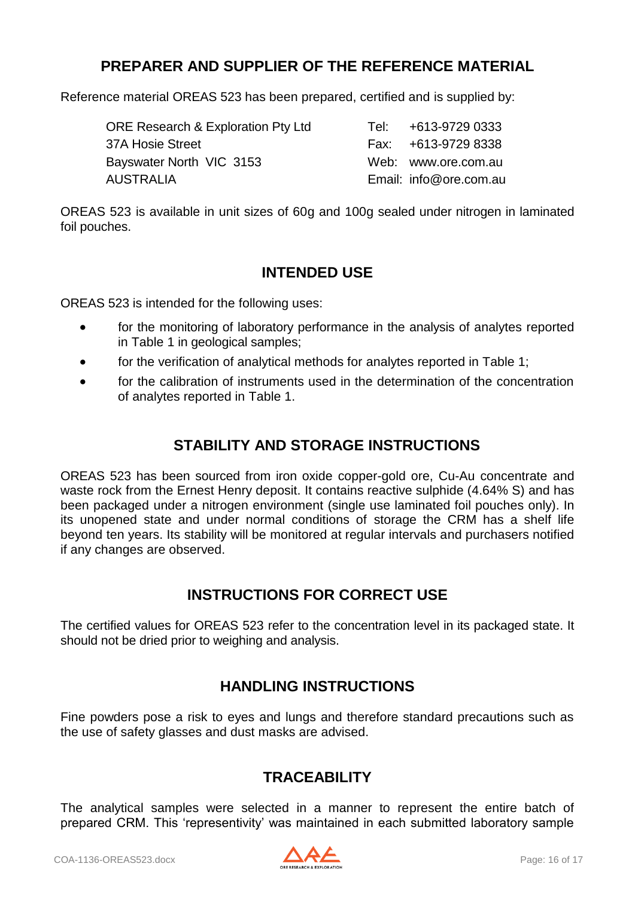# **PREPARER AND SUPPLIER OF THE REFERENCE MATERIAL**

Reference material OREAS 523 has been prepared, certified and is supplied by:

| <b>ORE Research &amp; Exploration Pty Ltd</b> | Tel: | +613-9729 0333         |
|-----------------------------------------------|------|------------------------|
| 37A Hosie Street                              |      | Fax: +613-9729 8338    |
| Bayswater North VIC 3153                      |      | Web: www.ore.com.au    |
| <b>AUSTRALIA</b>                              |      | Email: info@ore.com.au |

OREAS 523 is available in unit sizes of 60g and 100g sealed under nitrogen in laminated foil pouches.

### **INTENDED USE**

OREAS 523 is intended for the following uses:

- for the monitoring of laboratory performance in the analysis of analytes reported in Table 1 in geological samples;
- for the verification of analytical methods for analytes reported in Table 1;
- for the calibration of instruments used in the determination of the concentration of analytes reported in Table 1.

# **STABILITY AND STORAGE INSTRUCTIONS**

OREAS 523 has been sourced from iron oxide copper-gold ore, Cu-Au concentrate and waste rock from the Ernest Henry deposit. It contains reactive sulphide (4.64% S) and has been packaged under a nitrogen environment (single use laminated foil pouches only). In its unopened state and under normal conditions of storage the CRM has a shelf life beyond ten years. Its stability will be monitored at regular intervals and purchasers notified if any changes are observed.

# **INSTRUCTIONS FOR CORRECT USE**

The certified values for OREAS 523 refer to the concentration level in its packaged state. It should not be dried prior to weighing and analysis.

# **HANDLING INSTRUCTIONS**

Fine powders pose a risk to eyes and lungs and therefore standard precautions such as the use of safety glasses and dust masks are advised.

# **TRACEABILITY**

The analytical samples were selected in a manner to represent the entire batch of prepared CRM. This 'representivity' was maintained in each submitted laboratory sample